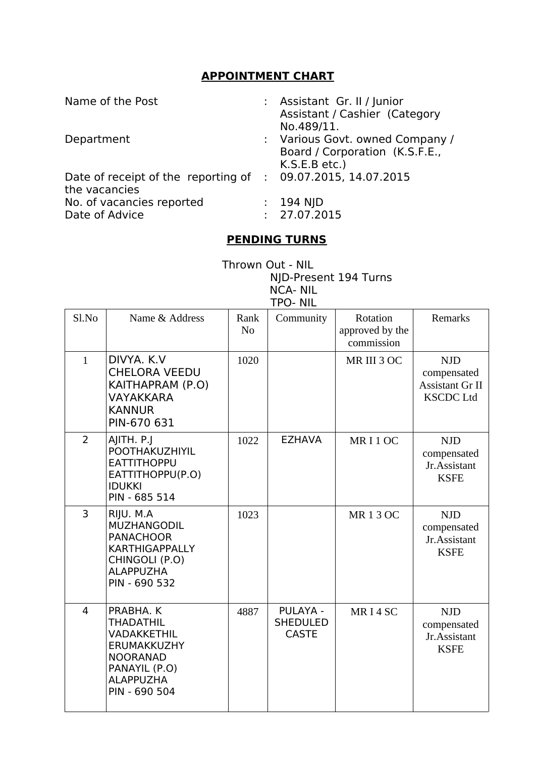## **APPOINTMENT CHART**

| Name of the Post                                                              | : Assistant Gr. II / Junior<br>Assistant / Cashier (Category<br>No.489/11.         |
|-------------------------------------------------------------------------------|------------------------------------------------------------------------------------|
| Department                                                                    | : Various Govt. owned Company /<br>Board / Corporation (K.S.F.E.,<br>K.S.E.B etc.) |
| Date of receipt of the reporting of : 09.07.2015, 14.07.2015<br>the vacancies |                                                                                    |
| No. of vacancies reported<br>Date of Advice                                   | : $194$ NJD<br>: 27.07.2015                                                        |

## **PENDING TURNS**

Thrown Out - NIL NJD-Present 194 Turns NCA- NIL TPO- NIL

| Sl.No          | Name & Address                                                                                                                              | Rank<br>N <sub>o</sub> | Community                                          | Rotation<br>approved by the<br>commission | <b>Remarks</b>                                                          |
|----------------|---------------------------------------------------------------------------------------------------------------------------------------------|------------------------|----------------------------------------------------|-------------------------------------------|-------------------------------------------------------------------------|
| $\mathbf{1}$   | DIVYA, K.V.<br><b>CHELORA VEEDU</b><br>KAITHAPRAM (P.O)<br><b>VAYAKKARA</b><br><b>KANNUR</b><br>PIN-670 631                                 | 1020                   |                                                    | MR III 3 OC                               | <b>NJD</b><br>compensated<br><b>Assistant Gr II</b><br><b>KSCDC Ltd</b> |
| $\overline{2}$ | AJITH. P.J<br>POOTHAKUZHIYIL<br><b>EATTITHOPPU</b><br>EATTITHOPPU(P.O)<br><b>IDUKKI</b><br>PIN - 685 514                                    | 1022                   | <b>EZHAVA</b>                                      | MRI1OC                                    | <b>NJD</b><br>compensated<br>Jr.Assistant<br><b>KSFE</b>                |
| $\overline{3}$ | RIJU. M.A<br><b>MUZHANGODIL</b><br><b>PANACHOOR</b><br><b>KARTHIGAPPALLY</b><br>CHINGOLI (P.O)<br><b>ALAPPUZHA</b><br>PIN - 690 532         | 1023                   |                                                    | <b>MR13OC</b>                             | <b>NJD</b><br>compensated<br>Jr.Assistant<br><b>KSFE</b>                |
| 4              | PRABHA, K<br><b>THADATHIL</b><br><b>VADAKKETHIL</b><br>ERUMAKKUZHY<br><b>NOORANAD</b><br>PANAYIL (P.O)<br><b>ALAPPUZHA</b><br>PIN - 690 504 | 4887                   | <b>PULAYA -</b><br><b>SHEDULED</b><br><b>CASTE</b> | MR <sub>I</sub> 4SC                       | <b>NJD</b><br>compensated<br>Jr.Assistant<br><b>KSFE</b>                |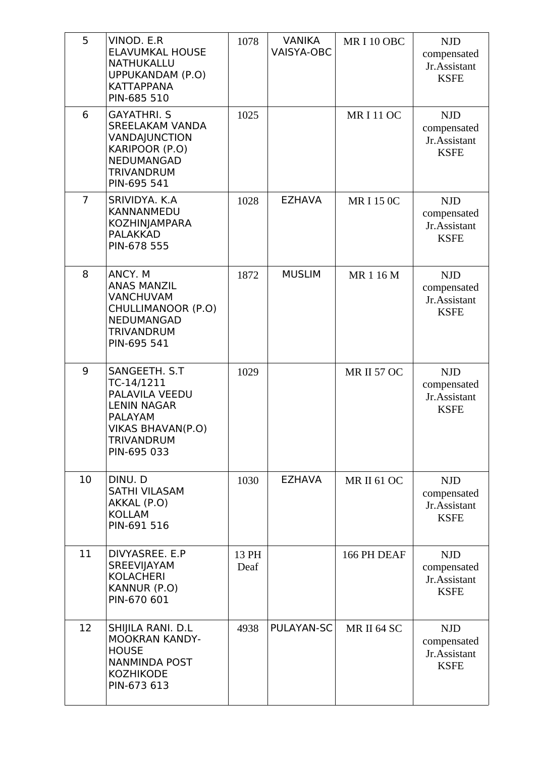| 5              | VINOD. E.R<br><b>ELAVUMKAL HOUSE</b><br><b>NATHUKALLU</b><br>UPPUKANDAM (P.O)<br><b>KATTAPPANA</b><br>PIN-685 510                              | 1078          | <b>VANIKA</b><br><b>VAISYA-OBC</b> | MRI10OBC           | <b>NJD</b><br>compensated<br>Jr.Assistant<br><b>KSFE</b> |
|----------------|------------------------------------------------------------------------------------------------------------------------------------------------|---------------|------------------------------------|--------------------|----------------------------------------------------------|
| 6              | <b>GAYATHRI. S</b><br><b>SREELAKAM VANDA</b><br>VANDAJUNCTION<br>KARIPOOR (P.O)<br>NEDUMANGAD<br><b>TRIVANDRUM</b><br>PIN-695 541              | 1025          |                                    | <b>MRI11OC</b>     | <b>NJD</b><br>compensated<br>Jr.Assistant<br><b>KSFE</b> |
| $\overline{7}$ | SRIVIDYA. K.A<br>KANNANMEDU<br><b>KOZHINJAMPARA</b><br><b>PALAKKAD</b><br>PIN-678 555                                                          | 1028          | <b>EZHAVA</b>                      | <b>MRI150C</b>     | <b>NJD</b><br>compensated<br>Jr.Assistant<br><b>KSFE</b> |
| 8              | ANCY. M<br><b>ANAS MANZIL</b><br>VANCHUVAM<br>CHULLIMANOOR (P.O)<br>NEDUMANGAD<br><b>TRIVANDRUM</b><br>PIN-695 541                             | 1872          | <b>MUSLIM</b>                      | MR 1 16 M          | <b>NJD</b><br>compensated<br>Jr.Assistant<br><b>KSFE</b> |
| 9              | SANGEETH. S.T<br>TC-14/1211<br>PALAVILA VEEDU<br><b>LENIN NAGAR</b><br><b>PALAYAM</b><br>VIKAS BHAVAN(P.O)<br><b>TRIVANDRUM</b><br>PIN-695 033 | 1029          |                                    | <b>MR II 57 OC</b> | <b>NJD</b><br>compensated<br>Jr.Assistant<br><b>KSFE</b> |
| 10             | DINU. D<br><b>SATHI VILASAM</b><br>AKKAL (P.O)<br><b>KOLLAM</b><br>PIN-691 516                                                                 | 1030          | <b>EZHAVA</b>                      | <b>MR II 61 OC</b> | <b>NJD</b><br>compensated<br>Jr.Assistant<br><b>KSFE</b> |
| 11             | DIVYASREE. E.P<br>SREEVIJAYAM<br><b>KOLACHERI</b><br>KANNUR (P.O)<br>PIN-670 601                                                               | 13 PH<br>Deaf |                                    | 166 PH DEAF        | <b>NJD</b><br>compensated<br>Jr.Assistant<br><b>KSFE</b> |
| 12             | SHIJILA RANI. D.L<br><b>MOOKRAN KANDY-</b><br><b>HOUSE</b><br><b>NANMINDA POST</b><br><b>KOZHIKODE</b><br>PIN-673 613                          | 4938          | PULAYAN-SC                         | MR II 64 SC        | <b>NJD</b><br>compensated<br>Jr.Assistant<br><b>KSFE</b> |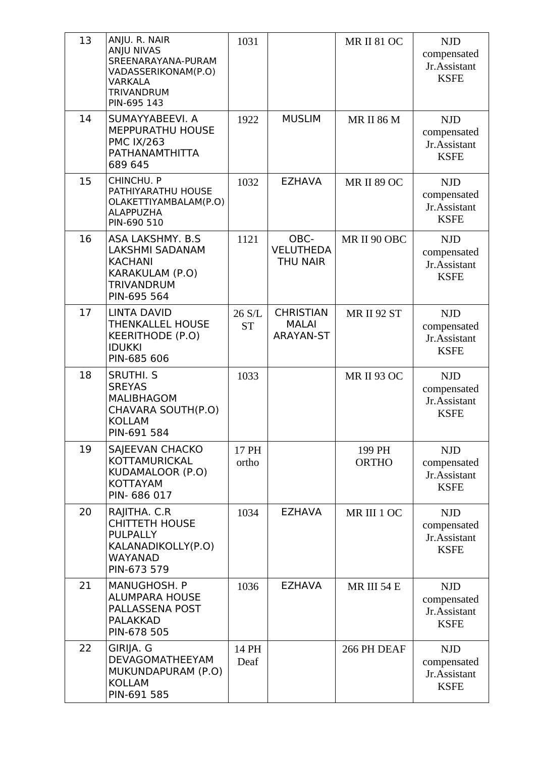| 13 | ANJU. R. NAIR<br><b>ANJU NIVAS</b><br>SREENARAYANA-PURAM<br>VADASSERIKONAM(P.O)<br>VARKALA<br><b>TRIVANDRUM</b><br>PIN-695 143 | 1031                |                                                      | <b>MR II 81 OC</b>     | <b>NJD</b><br>compensated<br>Jr.Assistant<br><b>KSFE</b> |
|----|--------------------------------------------------------------------------------------------------------------------------------|---------------------|------------------------------------------------------|------------------------|----------------------------------------------------------|
| 14 | SUMAYYABEEVI. A<br>MEPPURATHU HOUSE<br><b>PMC IX/263</b><br>PATHANAMTHITTA<br>689 645                                          | 1922                | <b>MUSLIM</b>                                        | <b>MR II 86 M</b>      | <b>NJD</b><br>compensated<br>Jr.Assistant<br><b>KSFE</b> |
| 15 | CHINCHU. P<br>PATHIYARATHU HOUSE<br>OLAKETTIYAMBALAM(P.O)<br>ALAPPUZHA<br>PIN-690 510                                          | 1032                | <b>EZHAVA</b>                                        | <b>MR II 89 OC</b>     | <b>NJD</b><br>compensated<br>Jr.Assistant<br><b>KSFE</b> |
| 16 | ASA LAKSHMY. B.S.<br><b>LAKSHMI SADANAM</b><br><b>KACHANI</b><br>KARAKULAM (P.O)<br><b>TRIVANDRUM</b><br>PIN-695 564           | 1121                | OBC-<br><b>VELUTHEDA</b><br><b>THU NAIR</b>          | MR II 90 OBC           | <b>NJD</b><br>compensated<br>Jr.Assistant<br><b>KSFE</b> |
| 17 | <b>LINTA DAVID</b><br><b>THENKALLEL HOUSE</b><br><b>KEERITHODE (P.O)</b><br><b>IDUKKI</b><br>PIN-685 606                       | 26 S/L<br><b>ST</b> | <b>CHRISTIAN</b><br><b>MALAI</b><br><b>ARAYAN-ST</b> | <b>MR II 92 ST</b>     | <b>NJD</b><br>compensated<br>Jr.Assistant<br><b>KSFE</b> |
| 18 | <b>SRUTHI. S</b><br><b>SREYAS</b><br><b>MALIBHAGOM</b><br>CHAVARA SOUTH(P.O)<br><b>KOLLAM</b><br>PIN-691 584                   | 1033                |                                                      | <b>MR II 93 OC</b>     | <b>NJD</b><br>compensated<br>Jr.Assistant<br><b>KSFE</b> |
| 19 | SAJEEVAN CHACKO<br>KOTTAMURICKAL<br>KUDAMALOOR (P.O)<br><b>KOTTAYAM</b><br>PIN- 686 017                                        | 17 PH<br>ortho      |                                                      | 199 PH<br><b>ORTHO</b> | <b>NJD</b><br>compensated<br>Jr.Assistant<br><b>KSFE</b> |
| 20 | RAJITHA. C.R<br><b>CHITTETH HOUSE</b><br><b>PULPALLY</b><br>KALANADIKOLLY(P.O)<br><b>WAYANAD</b><br>PIN-673 579                | 1034                | <b>EZHAVA</b>                                        | MR III 1 OC            | <b>NJD</b><br>compensated<br>Jr.Assistant<br><b>KSFE</b> |
| 21 | MANUGHOSH. P<br><b>ALUMPARA HOUSE</b><br>PALLASSENA POST<br><b>PALAKKAD</b><br>PIN-678 505                                     | 1036                | <b>EZHAVA</b>                                        | MR III 54 E            | <b>NJD</b><br>compensated<br>Jr.Assistant<br><b>KSFE</b> |
| 22 | GIRIJA. G<br>DEVAGOMATHEEYAM<br>MUKUNDAPURAM (P.O)<br><b>KOLLAM</b><br>PIN-691 585                                             | 14 PH<br>Deaf       |                                                      | 266 PH DEAF            | <b>NJD</b><br>compensated<br>Jr.Assistant<br><b>KSFE</b> |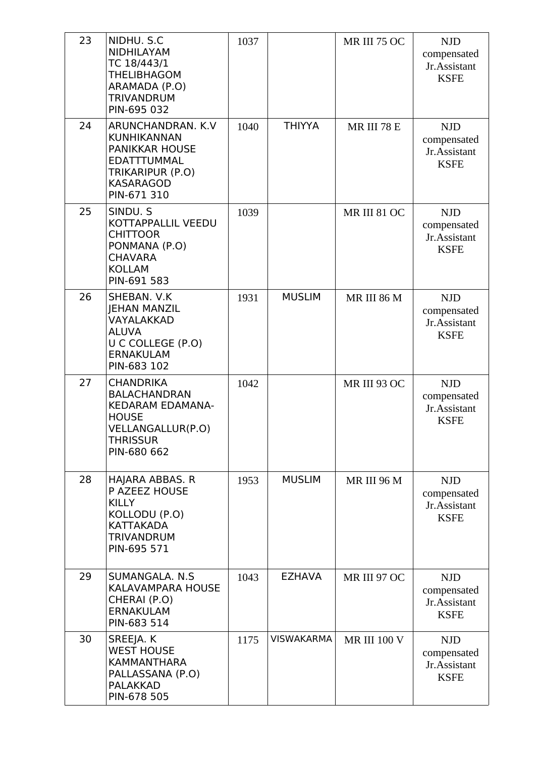| 23 | NIDHU. S.C<br><b>NIDHILAYAM</b><br>TC 18/443/1<br><b>THELIBHAGOM</b><br>ARAMADA (P.O)<br><b>TRIVANDRUM</b><br>PIN-695 032                 | 1037 |                   | MR III 75 OC        | <b>NJD</b><br>compensated<br>Jr.Assistant<br><b>KSFE</b> |
|----|-------------------------------------------------------------------------------------------------------------------------------------------|------|-------------------|---------------------|----------------------------------------------------------|
| 24 | ARUNCHANDRAN. K.V<br><b>KUNHIKANNAN</b><br><b>PANIKKAR HOUSE</b><br>EDATTTUMMAL<br>TRIKARIPUR (P.O)<br><b>KASARAGOD</b><br>PIN-671 310    | 1040 | <b>THIYYA</b>     | MR III 78 E         | <b>NJD</b><br>compensated<br>Jr.Assistant<br><b>KSFE</b> |
| 25 | SINDU. S<br>KOTTAPPALLIL VEEDU<br><b>CHITTOOR</b><br>PONMANA (P.O)<br><b>CHAVARA</b><br><b>KOLLAM</b><br>PIN-691 583                      | 1039 |                   | <b>MR III 81 OC</b> | <b>NJD</b><br>compensated<br>Jr.Assistant<br><b>KSFE</b> |
| 26 | SHEBAN. V.K<br><b>JEHAN MANZIL</b><br>VAYALAKKAD<br><b>ALUVA</b><br>U C COLLEGE (P.O)<br><b>ERNAKULAM</b><br>PIN-683 102                  | 1931 | <b>MUSLIM</b>     | MR III 86 M         | <b>NJD</b><br>compensated<br>Jr.Assistant<br><b>KSFE</b> |
| 27 | <b>CHANDRIKA</b><br><b>BALACHANDRAN</b><br><b>KEDARAM EDAMANA-</b><br><b>HOUSE</b><br>VELLANGALLUR(P.O)<br><b>THRISSUR</b><br>PIN-680 662 | 1042 |                   | MR III 93 OC        | <b>NJD</b><br>compensated<br>Jr.Assistant<br><b>KSFE</b> |
| 28 | HAJARA ABBAS. R<br>P AZEEZ HOUSE<br><b>KILLY</b><br>KOLLODU (P.O)<br><b>KATTAKADA</b><br><b>TRIVANDRUM</b><br>PIN-695 571                 | 1953 | <b>MUSLIM</b>     | MR III 96 M         | <b>NJD</b><br>compensated<br>Jr.Assistant<br><b>KSFE</b> |
| 29 | SUMANGALA. N.S.<br><b>KALAVAMPARA HOUSE</b><br>CHERAI (P.O)<br><b>ERNAKULAM</b><br>PIN-683 514                                            | 1043 | <b>EZHAVA</b>     | MR III 97 OC        | <b>NJD</b><br>compensated<br>Jr.Assistant<br><b>KSFE</b> |
| 30 | SREEJA. K<br><b>WEST HOUSE</b><br><b>KAMMANTHARA</b><br>PALLASSANA (P.O)<br><b>PALAKKAD</b><br>PIN-678 505                                | 1175 | <b>VISWAKARMA</b> | <b>MR III 100 V</b> | <b>NJD</b><br>compensated<br>Jr.Assistant<br><b>KSFE</b> |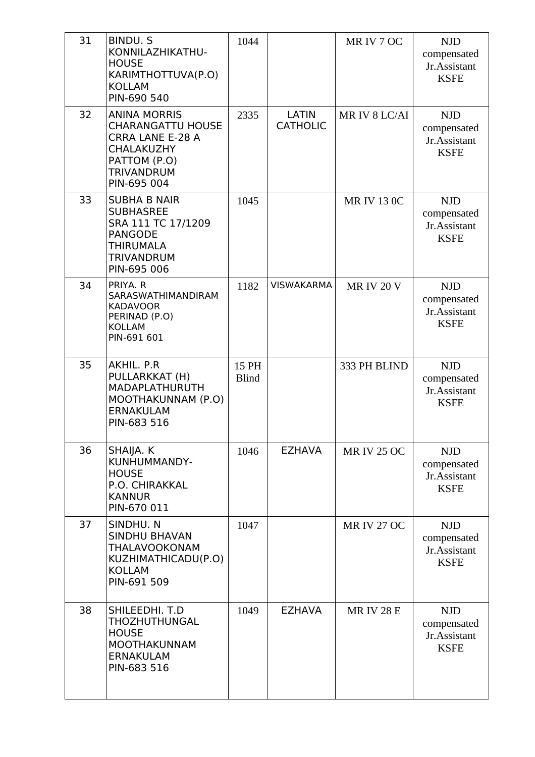| 31 | <b>BINDU.S</b><br>KONNILAZHIKATHU-<br><b>HOUSE</b><br>KARIMTHOTTUVA(P.O)<br><b>KOLLAM</b><br>PIN-690 540                                            | 1044                  |                                 | MR IV 7 OC         | <b>NJD</b><br>compensated<br>Jr.Assistant<br><b>KSFE</b> |
|----|-----------------------------------------------------------------------------------------------------------------------------------------------------|-----------------------|---------------------------------|--------------------|----------------------------------------------------------|
| 32 | <b>ANINA MORRIS</b><br><b>CHARANGATTU HOUSE</b><br><b>CRRA LANE E-28 A</b><br><b>CHALAKUZHY</b><br>PATTOM (P.O)<br><b>TRIVANDRUM</b><br>PIN-695 004 | 2335                  | <b>LATIN</b><br><b>CATHOLIC</b> | MR IV 8 LC/AI      | <b>NJD</b><br>compensated<br>Jr.Assistant<br><b>KSFE</b> |
| 33 | <b>SUBHA B NAIR</b><br><b>SUBHASREE</b><br>SRA 111 TC 17/1209<br><b>PANGODE</b><br><b>THIRUMALA</b><br><b>TRIVANDRUM</b><br>PIN-695 006             | 1045                  |                                 | <b>MR IV 13 0C</b> | <b>NJD</b><br>compensated<br>Jr.Assistant<br><b>KSFE</b> |
| 34 | PRIYA. R<br>SARASWATHIMANDIRAM<br><b>KADAVOOR</b><br>PERINAD (P.O)<br><b>KOLLAM</b><br>PIN-691 601                                                  | 1182                  | <b>VISWAKARMA</b>               | <b>MR IV 20 V</b>  | <b>NJD</b><br>compensated<br>Jr.Assistant<br><b>KSFE</b> |
| 35 | AKHIL. P.R<br>PULLARKKAT (H)<br>MADAPLATHURUTH<br>MOOTHAKUNNAM (P.O)<br><b>ERNAKULAM</b><br>PIN-683 516                                             | 15 PH<br><b>Blind</b> |                                 | 333 PH BLIND       | <b>NJD</b><br>compensated<br>Jr.Assistant<br><b>KSFE</b> |
| 36 | SHAIJA. K<br>KUNHUMMANDY-<br><b>HOUSE</b><br>P.O. CHIRAKKAL<br><b>KANNUR</b><br>PIN-670 011                                                         | 1046                  | <b>EZHAVA</b>                   | <b>MR IV 25 OC</b> | <b>NJD</b><br>compensated<br>Jr.Assistant<br><b>KSFE</b> |
| 37 | SINDHU. N<br><b>SINDHU BHAVAN</b><br>THALAVOOKONAM<br>KUZHIMATHICADU(P.O)<br><b>KOLLAM</b><br>PIN-691 509                                           | 1047                  |                                 | <b>MR IV 27 OC</b> | <b>NJD</b><br>compensated<br>Jr.Assistant<br><b>KSFE</b> |
| 38 | SHILEEDHI. T.D<br>THOZHUTHUNGAL<br><b>HOUSE</b><br><b>MOOTHAKUNNAM</b><br><b>ERNAKULAM</b><br>PIN-683 516                                           | 1049                  | <b>EZHAVA</b>                   | <b>MRIV 28 E</b>   | <b>NJD</b><br>compensated<br>Jr.Assistant<br><b>KSFE</b> |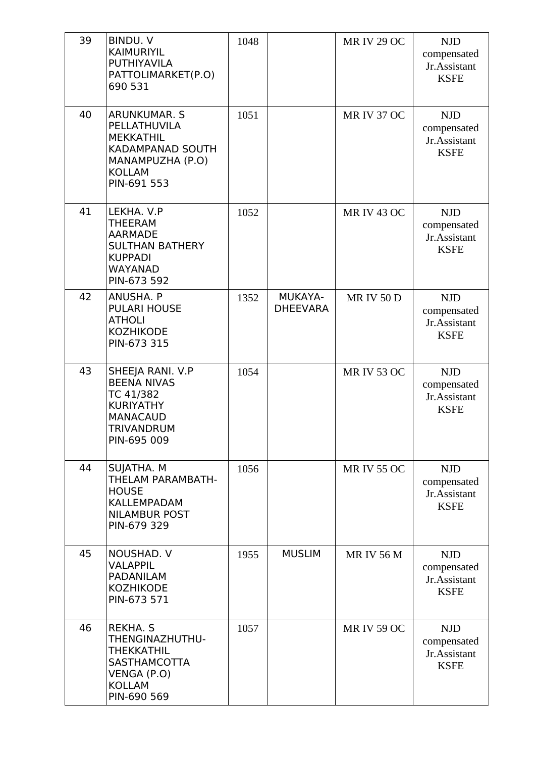| 39 | <b>BINDU, V</b><br><b>KAIMURIYIL</b><br><b>PUTHIYAVILA</b><br>PATTOLIMARKET(P.O)<br>690 531                                     | 1048 |                            | <b>MR IV 29 OC</b> | <b>NJD</b><br>compensated<br>Jr.Assistant<br><b>KSFE</b> |
|----|---------------------------------------------------------------------------------------------------------------------------------|------|----------------------------|--------------------|----------------------------------------------------------|
| 40 | ARUNKUMAR. S<br>PELLATHUVILA<br><b>MEKKATHIL</b><br><b>KADAMPANAD SOUTH</b><br>MANAMPUZHA (P.O)<br><b>KOLLAM</b><br>PIN-691 553 | 1051 |                            | <b>MR IV 37 OC</b> | <b>NJD</b><br>compensated<br>Jr.Assistant<br><b>KSFE</b> |
| 41 | LEKHA, V.P<br><b>THEERAM</b><br><b>AARMADE</b><br><b>SULTHAN BATHERY</b><br><b>KUPPADI</b><br><b>WAYANAD</b><br>PIN-673 592     | 1052 |                            | <b>MR IV 43 OC</b> | <b>NJD</b><br>compensated<br>Jr.Assistant<br><b>KSFE</b> |
| 42 | ANUSHA. P<br><b>PULARI HOUSE</b><br><b>ATHOLI</b><br><b>KOZHIKODE</b><br>PIN-673 315                                            | 1352 | MUKAYA-<br><b>DHEEVARA</b> | <b>MRIV50D</b>     | <b>NJD</b><br>compensated<br>Jr.Assistant<br><b>KSFE</b> |
| 43 | SHEEJA RANI. V.P<br><b>BEENA NIVAS</b><br>TC 41/382<br><b>KURIYATHY</b><br><b>MANACAUD</b><br><b>TRIVANDRUM</b><br>PIN-695 009  | 1054 |                            | <b>MR IV 53 OC</b> | <b>NJD</b><br>compensated<br>Jr.Assistant<br><b>KSFE</b> |
| 44 | SUJATHA. M<br>THELAM PARAMBATH-<br><b>HOUSE</b><br><b>KALLEMPADAM</b><br><b>NILAMBUR POST</b><br>PIN-679 329                    | 1056 |                            | <b>MR IV 55 OC</b> | <b>NJD</b><br>compensated<br>Jr.Assistant<br><b>KSFE</b> |
| 45 | NOUSHAD. V<br><b>VALAPPIL</b><br><b>PADANILAM</b><br><b>KOZHIKODE</b><br>PIN-673 571                                            | 1955 | <b>MUSLIM</b>              | <b>MRIV56M</b>     | <b>NJD</b><br>compensated<br>Jr.Assistant<br><b>KSFE</b> |
| 46 | REKHA. S<br>THENGINAZHUTHU-<br><b>THEKKATHIL</b><br><b>SASTHAMCOTTA</b><br>VENGA (P.O)<br><b>KOLLAM</b><br>PIN-690 569          | 1057 |                            | <b>MR IV 59 OC</b> | <b>NJD</b><br>compensated<br>Jr.Assistant<br><b>KSFE</b> |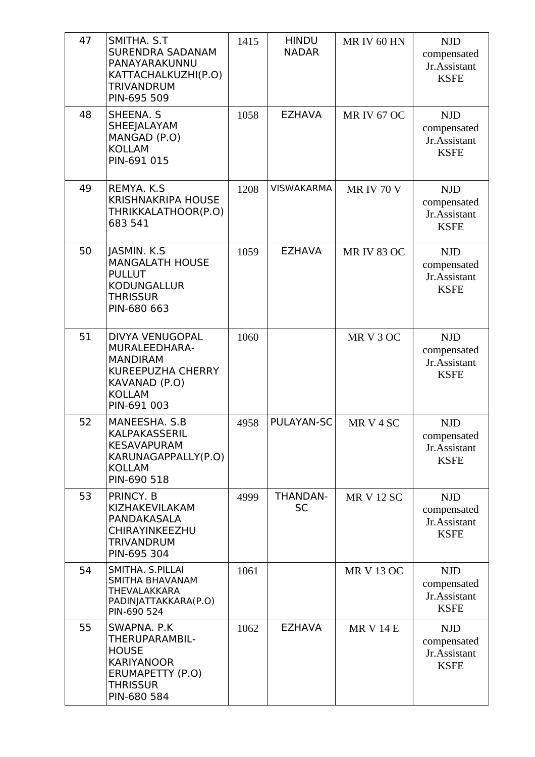| 47 | SMITHA. S.T<br><b>SURENDRA SADANAM</b><br>PANAYARAKUNNU<br>KATTACHALKUZHI(P.O)<br><b>TRIVANDRUM</b><br>PIN-695 509                      | 1415 | <b>HINDU</b><br><b>NADAR</b> | MR IV 60 HN        | <b>NJD</b><br>compensated<br>Jr.Assistant<br><b>KSFE</b> |
|----|-----------------------------------------------------------------------------------------------------------------------------------------|------|------------------------------|--------------------|----------------------------------------------------------|
| 48 | SHEENA. S<br><b>SHEEJALAYAM</b><br>MANGAD (P.O)<br><b>KOLLAM</b><br>PIN-691 015                                                         | 1058 | <b>EZHAVA</b>                | <b>MR IV 67 OC</b> | <b>NJD</b><br>compensated<br>Jr.Assistant<br><b>KSFE</b> |
| 49 | REMYA. K.S.<br><b>KRISHNAKRIPA HOUSE</b><br>THRIKKALATHOOR(P.O)<br>683 541                                                              | 1208 | <b>VISWAKARMA</b>            | <b>MR IV 70 V</b>  | <b>NJD</b><br>compensated<br>Jr.Assistant<br><b>KSFE</b> |
| 50 | JASMIN. K.S.<br><b>MANGALATH HOUSE</b><br><b>PULLUT</b><br><b>KODUNGALLUR</b><br><b>THRISSUR</b><br>PIN-680 663                         | 1059 | <b>EZHAVA</b>                | <b>MR IV 83 OC</b> | <b>NJD</b><br>compensated<br>Jr.Assistant<br><b>KSFE</b> |
| 51 | <b>DIVYA VENUGOPAL</b><br>MURALEEDHARA-<br><b>MANDIRAM</b><br><b>KUREEPUZHA CHERRY</b><br>KAVANAD (P.O)<br><b>KOLLAM</b><br>PIN-691 003 | 1060 |                              | MR V 3 OC          | <b>NJD</b><br>compensated<br>Jr.Assistant<br><b>KSFE</b> |
| 52 | MANEESHA, S.B<br>KALPAKASSERIL<br><b>KESAVAPURAM</b><br>KARUNAGAPPALLY(P.O)<br><b>KOLLAM</b><br>PIN-690 518                             | 4958 | PULAYAN-SC                   | MR V 4 SC          | <b>NJD</b><br>compensated<br>Jr.Assistant<br><b>KSFE</b> |
| 53 | PRINCY. B<br>KIZHAKEVILAKAM<br>PANDAKASALA<br>CHIRAYINKEEZHU<br>TRIVANDRUM<br>PIN-695 304                                               | 4999 | <b>THANDAN-</b><br><b>SC</b> | <b>MR V 12 SC</b>  | <b>NJD</b><br>compensated<br>Jr.Assistant<br><b>KSFE</b> |
| 54 | SMITHA. S.PILLAI<br>SMITHA BHAVANAM<br>THEVALAKKARA<br>PADINJATTAKKARA(P.O)<br>PIN-690 524                                              | 1061 |                              | <b>MR V 13 OC</b>  | <b>NJD</b><br>compensated<br>Jr.Assistant<br><b>KSFE</b> |
| 55 | SWAPNA. P.K<br>THERUPARAMBIL-<br><b>HOUSE</b><br><b>KARIYANOOR</b><br>ERUMAPETTY (P.O)<br><b>THRISSUR</b><br>PIN-680 584                | 1062 | <b>EZHAVA</b>                | <b>MR V 14 E</b>   | <b>NJD</b><br>compensated<br>Jr.Assistant<br><b>KSFE</b> |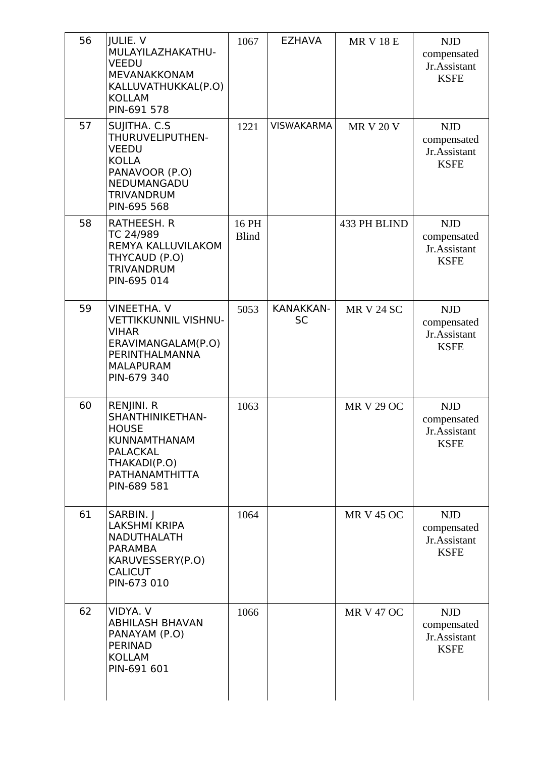| 56<br>57 | <b>JULIE. V</b><br>MULAYILAZHAKATHU-<br><b>VEEDU</b><br>MEVANAKKONAM<br>KALLUVATHUKKAL(P.O)<br><b>KOLLAM</b><br>PIN-691 578<br>SUJITHA. C.S. | 1067<br>1221          | <b>EZHAVA</b><br><b>VISWAKARMA</b> | <b>MR V 18 E</b><br><b>MR V 20 V</b> | <b>NJD</b><br>compensated<br>Jr.Assistant<br><b>KSFE</b><br><b>NJD</b> |
|----------|----------------------------------------------------------------------------------------------------------------------------------------------|-----------------------|------------------------------------|--------------------------------------|------------------------------------------------------------------------|
|          | THURUVELIPUTHEN-<br><b>VEEDU</b><br><b>KOLLA</b><br>PANAVOOR (P.O)<br>NEDUMANGADU<br><b>TRIVANDRUM</b><br>PIN-695 568                        |                       |                                    |                                      | compensated<br>Jr.Assistant<br><b>KSFE</b>                             |
| 58       | RATHEESH. R<br>TC 24/989<br><b>REMYA KALLUVILAKOM</b><br>THYCAUD (P.O)<br><b>TRIVANDRUM</b><br>PIN-695 014                                   | 16 PH<br><b>Blind</b> |                                    | 433 PH BLIND                         | <b>NJD</b><br>compensated<br>Jr.Assistant<br><b>KSFE</b>               |
| 59       | <b>VINEETHA. V</b><br><b>VETTIKKUNNIL VISHNU-</b><br><b>VIHAR</b><br>ERAVIMANGALAM(P.O)<br>PERINTHALMANNA<br><b>MALAPURAM</b><br>PIN-679 340 | 5053                  | <b>KANAKKAN-</b><br><b>SC</b>      | <b>MR V 24 SC</b>                    | <b>NJD</b><br>compensated<br>Jr.Assistant<br><b>KSFE</b>               |
| 60       | RENJINI. R<br>SHANTHINIKETHAN-<br><b>HOUSE</b><br><b>KUNNAMTHANAM</b><br><b>PALACKAL</b><br>THAKADI(P.O)<br>PATHANAMTHITTA<br>PIN-689 581    | 1063                  |                                    | <b>MR V 29 OC</b>                    | <b>NJD</b><br>compensated<br>Jr.Assistant<br><b>KSFE</b>               |
| 61       | SARBIN. J<br><b>LAKSHMI KRIPA</b><br><b>NADUTHALATH</b><br><b>PARAMBA</b><br>KARUVESSERY(P.O)<br><b>CALICUT</b><br>PIN-673 010               | 1064                  |                                    | <b>MR V 45 OC</b>                    | <b>NJD</b><br>compensated<br>Jr.Assistant<br><b>KSFE</b>               |
| 62       | VIDYA. V<br><b>ABHILASH BHAVAN</b><br>PANAYAM (P.O)<br><b>PERINAD</b><br><b>KOLLAM</b><br>PIN-691 601                                        | 1066                  |                                    | <b>MR V 47 OC</b>                    | <b>NJD</b><br>compensated<br>Jr.Assistant<br><b>KSFE</b>               |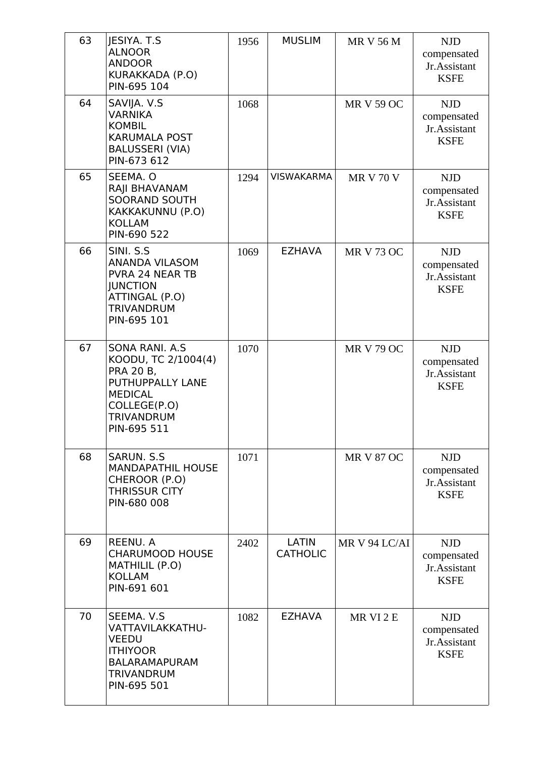| 63 | <b>JESIYA. T.S</b><br><b>ALNOOR</b><br><b>ANDOOR</b><br>KURAKKADA (P.O)<br>PIN-695 104                                                               | 1956 | <b>MUSLIM</b>            | <b>MR V 56 M</b>  | <b>NJD</b><br>compensated<br>Jr.Assistant<br><b>KSFE</b> |
|----|------------------------------------------------------------------------------------------------------------------------------------------------------|------|--------------------------|-------------------|----------------------------------------------------------|
| 64 | SAVIJA. V.S<br><b>VARNIKA</b><br><b>KOMBIL</b><br><b>KARUMALA POST</b><br><b>BALUSSERI (VIA)</b><br>PIN-673 612                                      | 1068 |                          | <b>MR V 59 OC</b> | <b>NJD</b><br>compensated<br>Jr.Assistant<br><b>KSFE</b> |
| 65 | SEEMA. O<br>RAJI BHAVANAM<br><b>SOORAND SOUTH</b><br>KAKKAKUNNU (P.O)<br><b>KOLLAM</b><br>PIN-690 522                                                | 1294 | <b>VISWAKARMA</b>        | <b>MR V 70 V</b>  | <b>NJD</b><br>compensated<br>Jr.Assistant<br><b>KSFE</b> |
| 66 | SINI. S.S.<br><b>ANANDA VILASOM</b><br>PVRA 24 NEAR TB<br><b>JUNCTION</b><br>ATTINGAL (P.O)<br><b>TRIVANDRUM</b><br>PIN-695 101                      | 1069 | <b>EZHAVA</b>            | <b>MR V 73 OC</b> | <b>NJD</b><br>compensated<br>Jr.Assistant<br><b>KSFE</b> |
| 67 | <b>SONA RANI. A.S.</b><br>KOODU, TC 2/1004(4)<br>PRA 20 B,<br>PUTHUPPALLY LANE<br><b>MEDICAL</b><br>COLLEGE(P.O)<br><b>TRIVANDRUM</b><br>PIN-695 511 | 1070 |                          | <b>MR V 79 OC</b> | <b>NJD</b><br>compensated<br>Jr.Assistant<br><b>KSFE</b> |
| 68 | <b>SARUN, S.S.</b><br><b>MANDAPATHIL HOUSE</b><br>CHEROOR (P.O)<br><b>THRISSUR CITY</b><br>PIN-680 008                                               | 1071 |                          | <b>MR V 87 OC</b> | <b>NJD</b><br>compensated<br>Jr.Assistant<br><b>KSFE</b> |
| 69 | REENU, A<br><b>CHARUMOOD HOUSE</b><br>MATHILIL (P.O)<br><b>KOLLAM</b><br>PIN-691 601                                                                 | 2402 | LATIN<br><b>CATHOLIC</b> | MR V 94 LC/AI     | <b>NJD</b><br>compensated<br>Jr.Assistant<br><b>KSFE</b> |
| 70 | SEEMA. V.S<br>VATTAVILAKKATHU-<br><b>VEEDU</b><br><b>ITHIYOOR</b><br><b>BALARAMAPURAM</b><br><b>TRIVANDRUM</b><br>PIN-695 501                        | 1082 | <b>EZHAVA</b>            | MR VI 2 E         | <b>NJD</b><br>compensated<br>Jr.Assistant<br><b>KSFE</b> |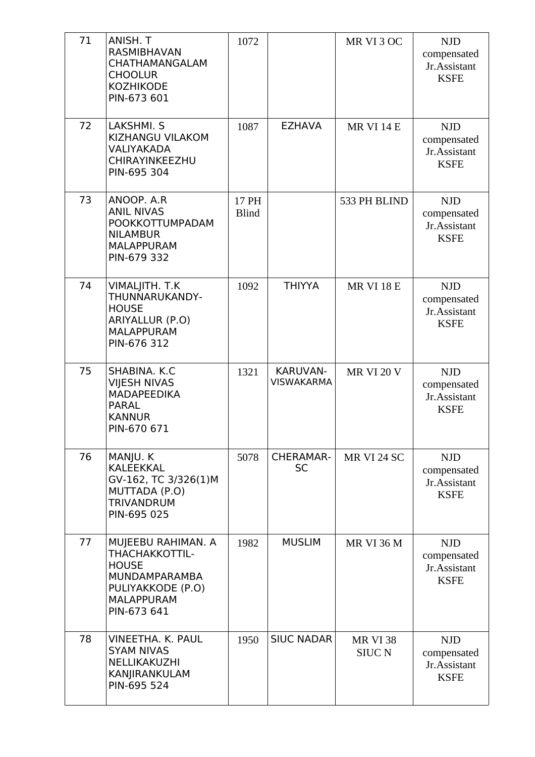| 71 | ANISH. T                                                                                                                              | 1072                  |                                      | MR VI 3 OC                       | <b>NJD</b>                                               |
|----|---------------------------------------------------------------------------------------------------------------------------------------|-----------------------|--------------------------------------|----------------------------------|----------------------------------------------------------|
|    | RASMIBHAVAN<br>CHATHAMANGALAM<br><b>CHOOLUR</b><br><b>KOZHIKODE</b>                                                                   |                       |                                      |                                  | compensated<br>Jr.Assistant<br><b>KSFE</b>               |
|    | PIN-673 601                                                                                                                           |                       |                                      |                                  |                                                          |
| 72 | LAKSHMI. S<br>KIZHANGU VILAKOM<br><b>VALIYAKADA</b><br>CHIRAYINKEEZHU<br>PIN-695 304                                                  | 1087                  | <b>EZHAVA</b>                        | <b>MR VI 14 E</b>                | <b>NJD</b><br>compensated<br>Jr.Assistant<br><b>KSFE</b> |
| 73 | ANOOP. A.R<br><b>ANIL NIVAS</b><br>POOKKOTTUMPADAM<br><b>NILAMBUR</b><br><b>MALAPPURAM</b><br>PIN-679 332                             | 17 PH<br><b>Blind</b> |                                      | 533 PH BLIND                     | <b>NJD</b><br>compensated<br>Jr.Assistant<br><b>KSFE</b> |
| 74 | VIMALJITH. T.K<br>THUNNARUKANDY-<br><b>HOUSE</b><br>ARIYALLUR (P.O)<br><b>MALAPPURAM</b><br>PIN-676 312                               | 1092                  | <b>THIYYA</b>                        | <b>MR VI 18 E</b>                | <b>NJD</b><br>compensated<br>Jr.Assistant<br><b>KSFE</b> |
| 75 | SHABINA. K.C<br><b>VIJESH NIVAS</b><br><b>MADAPEEDIKA</b><br><b>PARAL</b><br><b>KANNUR</b><br>PIN-670 671                             | 1321                  | <b>KARUVAN-</b><br><b>VISWAKARMA</b> | <b>MR VI 20 V</b>                | <b>NJD</b><br>compensated<br>Jr.Assistant<br><b>KSFE</b> |
| 76 | MANJU. K<br><b>KALEEKKAL</b><br>GV-162, TC 3/326(1)M<br>MUTTADA (P.O)<br><b>TRIVANDRUM</b><br>PIN-695 025                             | 5078                  | <b>CHERAMAR-</b><br><b>SC</b>        | MR VI 24 SC                      | <b>NJD</b><br>compensated<br>Jr.Assistant<br><b>KSFE</b> |
| 77 | MUJEEBU RAHIMAN. A<br><b>THACHAKKOTTIL-</b><br><b>HOUSE</b><br>MUNDAMPARAMBA<br>PULIYAKKODE (P.O)<br><b>MALAPPURAM</b><br>PIN-673 641 | 1982                  | <b>MUSLIM</b>                        | <b>MR VI 36 M</b>                | <b>NJD</b><br>compensated<br>Jr.Assistant<br><b>KSFE</b> |
| 78 | VINEETHA, K. PAUL<br><b>SYAM NIVAS</b><br>NELLIKAKUZHI<br>KANJIRANKULAM<br>PIN-695 524                                                | 1950                  | <b>SIUC NADAR</b>                    | <b>MR VI 38</b><br><b>SIUC N</b> | <b>NJD</b><br>compensated<br>Jr.Assistant<br><b>KSFE</b> |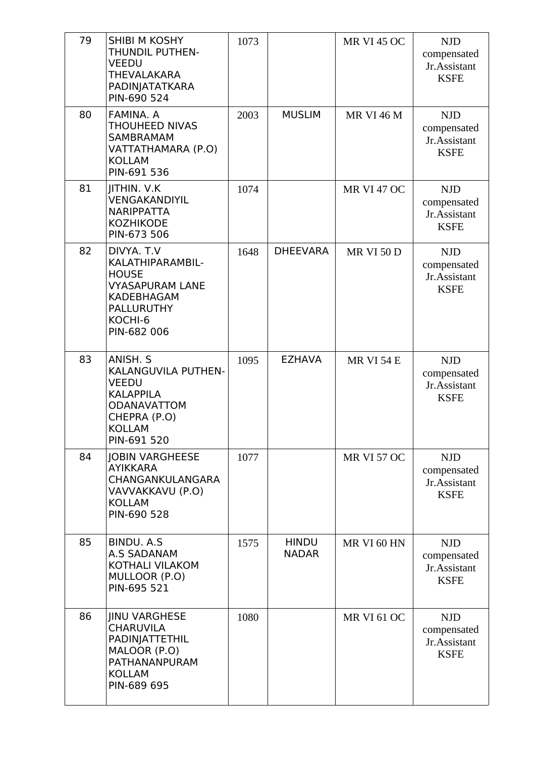| 79 | SHIBI M KOSHY<br>THUNDIL PUTHEN-<br><b>VEEDU</b><br><b>THEVALAKARA</b><br>PADINJATATKARA<br>PIN-690 524                               | 1073 |                              | <b>MR VI 45 OC</b> | <b>NJD</b><br>compensated<br>Jr.Assistant<br><b>KSFE</b> |
|----|---------------------------------------------------------------------------------------------------------------------------------------|------|------------------------------|--------------------|----------------------------------------------------------|
| 80 | FAMINA. A<br><b>THOUHEED NIVAS</b><br><b>SAMBRAMAM</b><br>VATTATHAMARA (P.O)<br><b>KOLLAM</b><br>PIN-691 536                          | 2003 | <b>MUSLIM</b>                | <b>MR VI 46 M</b>  | <b>NJD</b><br>compensated<br>Jr.Assistant<br><b>KSFE</b> |
| 81 | JITHIN. V.K<br>VENGAKANDIYIL<br><b>NARIPPATTA</b><br><b>KOZHIKODE</b><br>PIN-673 506                                                  | 1074 |                              | <b>MR VI 47 OC</b> | <b>NJD</b><br>compensated<br>Jr.Assistant<br><b>KSFE</b> |
| 82 | DIVYA. T.V<br>KALATHIPARAMBIL-<br><b>HOUSE</b><br><b>VYASAPURAM LANE</b><br>KADEBHAGAM<br><b>PALLURUTHY</b><br>KOCHI-6<br>PIN-682 006 | 1648 | <b>DHEEVARA</b>              | <b>MR VI 50 D</b>  | <b>NJD</b><br>compensated<br>Jr.Assistant<br><b>KSFE</b> |
| 83 | ANISH. S<br>KALANGUVILA PUTHEN-<br><b>VEEDU</b><br><b>KALAPPILA</b><br>ODANAVATTOM<br>CHEPRA (P.O)<br><b>KOLLAM</b><br>PIN-691 520    | 1095 | <b>EZHAVA</b>                | <b>MR VI 54 E</b>  | <b>NJD</b><br>compensated<br>Jr.Assistant<br><b>KSFE</b> |
| 84 | <b>JOBIN VARGHEESE</b><br><b>AYIKKARA</b><br>CHANGANKULANGARA<br>VAVVAKKAVU (P.O)<br><b>KOLLAM</b><br>PIN-690 528                     | 1077 |                              | <b>MR VI 57 OC</b> | <b>NJD</b><br>compensated<br>Jr.Assistant<br><b>KSFE</b> |
| 85 | <b>BINDU. A.S.</b><br><b>A.S SADANAM</b><br>KOTHALI VILAKOM<br>MULLOOR (P.O)<br>PIN-695 521                                           | 1575 | <b>HINDU</b><br><b>NADAR</b> | MR VI 60 HN        | <b>NJD</b><br>compensated<br>Jr.Assistant<br><b>KSFE</b> |
| 86 | <b>JINU VARGHESE</b><br><b>CHARUVILA</b><br>PADINJATTETHIL<br>MALOOR (P.O)<br>PATHANANPURAM<br><b>KOLLAM</b><br>PIN-689 695           | 1080 |                              | <b>MR VI 61 OC</b> | <b>NJD</b><br>compensated<br>Jr.Assistant<br><b>KSFE</b> |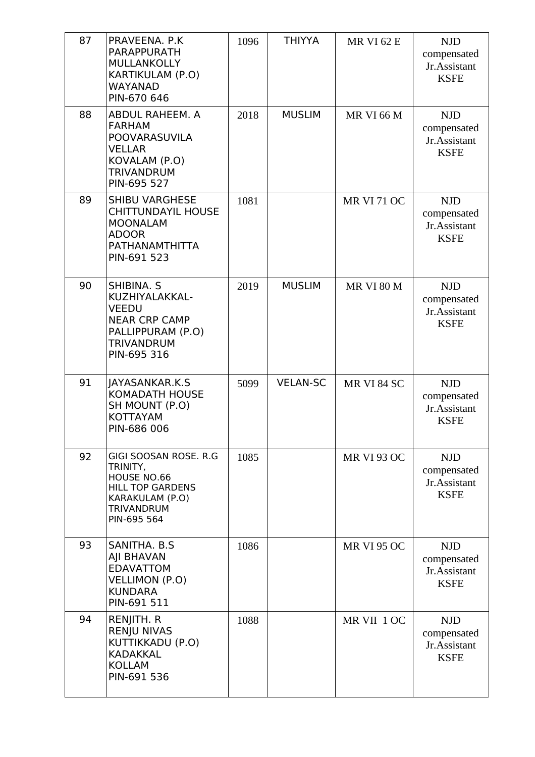| 87 | PRAVEENA, P.K.<br><b>PARAPPURATH</b><br>MULLANKOLLY<br>KARTIKULAM (P.O)<br>WAYANAD<br>PIN-670 646                                  | 1096 | <b>THIYYA</b>   | <b>MR VI 62 E</b>  | <b>NJD</b><br>compensated<br>Jr.Assistant<br><b>KSFE</b> |
|----|------------------------------------------------------------------------------------------------------------------------------------|------|-----------------|--------------------|----------------------------------------------------------|
| 88 | ABDUL RAHEEM. A<br><b>FARHAM</b><br>POOVARASUVILA<br><b>VELLAR</b><br>KOVALAM (P.O)<br><b>TRIVANDRUM</b><br>PIN-695 527            | 2018 | <b>MUSLIM</b>   | <b>MR VI 66 M</b>  | <b>NJD</b><br>compensated<br>Jr.Assistant<br><b>KSFE</b> |
| 89 | <b>SHIBU VARGHESE</b><br><b>CHITTUNDAYIL HOUSE</b><br><b>MOONALAM</b><br><b>ADOOR</b><br>PATHANAMTHITTA<br>PIN-691 523             | 1081 |                 | <b>MR VI 71 OC</b> | <b>NJD</b><br>compensated<br>Jr.Assistant<br><b>KSFE</b> |
| 90 | SHIBINA. S<br>KUZHIYALAKKAL-<br><b>VEEDU</b><br><b>NEAR CRP CAMP</b><br>PALLIPPURAM (P.O)<br><b>TRIVANDRUM</b><br>PIN-695 316      | 2019 | <b>MUSLIM</b>   | <b>MR VI 80 M</b>  | <b>NJD</b><br>compensated<br>Jr.Assistant<br><b>KSFE</b> |
| 91 | JAYASANKAR.K.S<br><b>KOMADATH HOUSE</b><br>SH MOUNT (P.O)<br>KOTTAYAM<br>PIN-686 006                                               | 5099 | <b>VELAN-SC</b> | MR VI 84 SC        | <b>NJD</b><br>compensated<br>Jr.Assistant<br><b>KSFE</b> |
| 92 | GIGI SOOSAN ROSE. R.G<br>TRINITY,<br>HOUSE NO.66<br><b>HILL TOP GARDENS</b><br>KARAKULAM (P.O)<br><b>TRIVANDRUM</b><br>PIN-695 564 | 1085 |                 | <b>MR VI 93 OC</b> | <b>NJD</b><br>compensated<br>Jr.Assistant<br><b>KSFE</b> |
| 93 | SANITHA, B.S.<br>AJI BHAVAN<br><b>EDAVATTOM</b><br><b>VELLIMON (P.O)</b><br><b>KUNDARA</b><br>PIN-691 511                          | 1086 |                 | <b>MR VI 95 OC</b> | <b>NJD</b><br>compensated<br>Jr.Assistant<br><b>KSFE</b> |
| 94 | RENJITH. R<br><b>RENJU NIVAS</b><br>KUTTIKKADU (P.O)<br><b>KADAKKAL</b><br><b>KOLLAM</b><br>PIN-691 536                            | 1088 |                 | MR VII 1 OC        | <b>NJD</b><br>compensated<br>Jr.Assistant<br><b>KSFE</b> |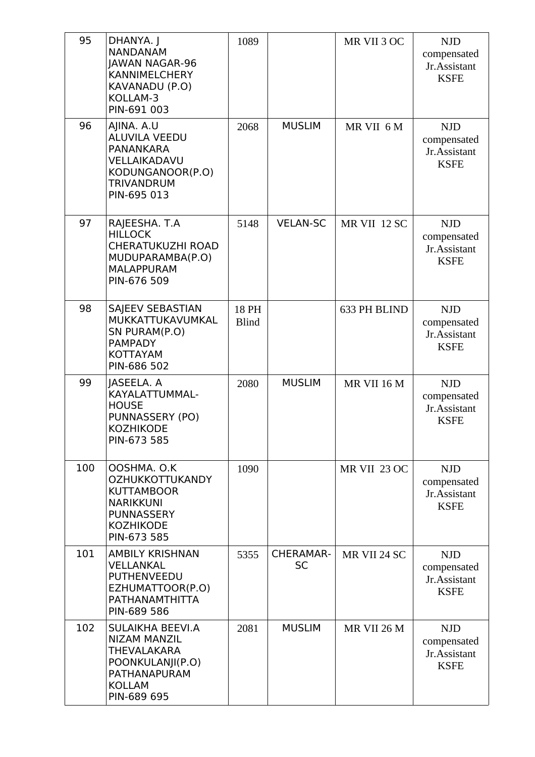| 95  | DHANYA. J<br><b>NANDANAM</b><br><b>JAWAN NAGAR-96</b><br><b>KANNIMELCHERY</b><br>KAVANADU (P.O)<br>KOLLAM-3<br>PIN-691 003             | 1089                  |                               | MR VII 3 OC  | <b>NJD</b><br>compensated<br>Jr.Assistant<br><b>KSFE</b> |
|-----|----------------------------------------------------------------------------------------------------------------------------------------|-----------------------|-------------------------------|--------------|----------------------------------------------------------|
| 96  | AJINA. A.U<br><b>ALUVILA VEEDU</b><br><b>PANANKARA</b><br>VELLAIKADAVU<br>KODUNGANOOR(P.O)<br><b>TRIVANDRUM</b><br>PIN-695 013         | 2068                  | <b>MUSLIM</b>                 | MR VII 6 M   | <b>NJD</b><br>compensated<br>Jr.Assistant<br><b>KSFE</b> |
| 97  | RAJEESHA. T.A<br><b>HILLOCK</b><br>CHERATUKUZHI ROAD<br>MUDUPARAMBA(P.O)<br><b>MALAPPURAM</b><br>PIN-676 509                           | 5148                  | <b>VELAN-SC</b>               | MR VII 12 SC | <b>NJD</b><br>compensated<br>Jr.Assistant<br><b>KSFE</b> |
| 98  | SAJEEV SEBASTIAN<br>MUKKATTUKAVUMKAL<br>SN PURAM(P.O)<br><b>PAMPADY</b><br><b>KOTTAYAM</b><br>PIN-686 502                              | 18 PH<br><b>Blind</b> |                               | 633 PH BLIND | <b>NJD</b><br>compensated<br>Jr.Assistant<br><b>KSFE</b> |
| 99  | JASEELA. A<br>KAYALATTUMMAL-<br><b>HOUSE</b><br>PUNNASSERY (PO)<br><b>KOZHIKODE</b><br>PIN-673 585                                     | 2080                  | <b>MUSLIM</b>                 | MR VII 16 M  | <b>NJD</b><br>compensated<br>Jr.Assistant<br><b>KSFE</b> |
| 100 | OOSHMA. O.K<br><b>OZHUKKOTTUKANDY</b><br><b>KUTTAMBOOR</b><br><b>NARIKKUNI</b><br><b>PUNNASSERY</b><br><b>KOZHIKODE</b><br>PIN-673 585 | 1090                  |                               | MR VII 23 OC | <b>NJD</b><br>compensated<br>Jr.Assistant<br><b>KSFE</b> |
| 101 | <b>AMBILY KRISHNAN</b><br>VELLANKAL<br><b>PUTHENVEEDU</b><br>EZHUMATTOOR(P.O)<br>PATHANAMTHITTA<br>PIN-689 586                         | 5355                  | <b>CHERAMAR-</b><br><b>SC</b> | MR VII 24 SC | <b>NJD</b><br>compensated<br>Jr.Assistant<br><b>KSFE</b> |
| 102 | SULAIKHA BEEVI.A<br><b>NIZAM MANZIL</b><br><b>THEVALAKARA</b><br>POONKULANJI(P.O)<br>PATHANAPURAM<br><b>KOLLAM</b><br>PIN-689 695      | 2081                  | <b>MUSLIM</b>                 | MR VII 26 M  | <b>NJD</b><br>compensated<br>Jr.Assistant<br><b>KSFE</b> |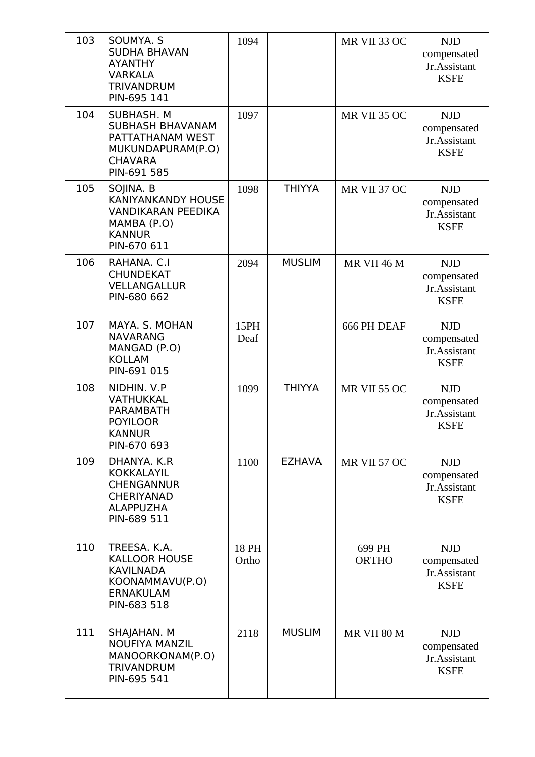| 103 | SOUMYA. S<br><b>SUDHA BHAVAN</b><br><b>AYANTHY</b><br><b>VARKALA</b><br><b>TRIVANDRUM</b><br>PIN-695 141        | 1094           |               | MR VII 33 OC           | <b>NJD</b><br>compensated<br>Jr.Assistant<br><b>KSFE</b> |
|-----|-----------------------------------------------------------------------------------------------------------------|----------------|---------------|------------------------|----------------------------------------------------------|
| 104 | SUBHASH. M<br><b>SUBHASH BHAVANAM</b><br>PATTATHANAM WEST<br>MUKUNDAPURAM(P.O)<br><b>CHAVARA</b><br>PIN-691 585 | 1097           |               | MR VII 35 OC           | <b>NJD</b><br>compensated<br>Jr.Assistant<br><b>KSFE</b> |
| 105 | SOJINA. B<br>KANIYANKANDY HOUSE<br>VANDIKARAN PEEDIKA<br>MAMBA (P.O)<br><b>KANNUR</b><br>PIN-670 611            | 1098           | <b>THIYYA</b> | MR VII 37 OC           | <b>NJD</b><br>compensated<br>Jr.Assistant<br><b>KSFE</b> |
| 106 | RAHANA. C.I<br><b>CHUNDEKAT</b><br>VELLANGALLUR<br>PIN-680 662                                                  | 2094           | <b>MUSLIM</b> | MR VII 46 M            | <b>NJD</b><br>compensated<br>Jr.Assistant<br><b>KSFE</b> |
| 107 | MAYA. S. MOHAN<br><b>NAVARANG</b><br>MANGAD (P.O)<br><b>KOLLAM</b><br>PIN-691 015                               | 15PH<br>Deaf   |               | 666 PH DEAF            | <b>NJD</b><br>compensated<br>Jr.Assistant<br><b>KSFE</b> |
| 108 | NIDHIN. V.P<br>VATHUKKAL<br><b>PARAMBATH</b><br><b>POYILOOR</b><br>KANNUR<br>PIN-670 693                        | 1099           | <b>THIYYA</b> | <b>MR VII 55 OC</b>    | <b>NJD</b><br>compensated<br>Jr.Assistant<br><b>KSFE</b> |
| 109 | DHANYA. K.R<br><b>KOKKALAYIL</b><br><b>CHENGANNUR</b><br><b>CHERIYANAD</b><br><b>ALAPPUZHA</b><br>PIN-689 511   | 1100           | <b>EZHAVA</b> | MR VII 57 OC           | <b>NJD</b><br>compensated<br>Jr.Assistant<br><b>KSFE</b> |
| 110 | TREESA. K.A.<br><b>KALLOOR HOUSE</b><br><b>KAVILNADA</b><br>KOONAMMAVU(P.O)<br><b>ERNAKULAM</b><br>PIN-683 518  | 18 PH<br>Ortho |               | 699 PH<br><b>ORTHO</b> | <b>NJD</b><br>compensated<br>Jr.Assistant<br><b>KSFE</b> |
| 111 | SHAJAHAN. M<br><b>NOUFIYA MANZIL</b><br>MANOORKONAM(P.O)<br><b>TRIVANDRUM</b><br>PIN-695 541                    | 2118           | <b>MUSLIM</b> | MR VII 80 M            | <b>NJD</b><br>compensated<br>Jr.Assistant<br><b>KSFE</b> |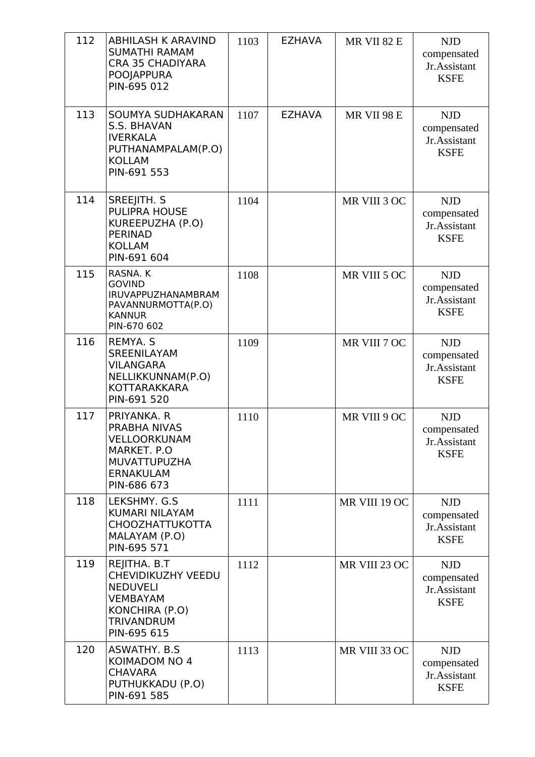| 112 | <b>ABHILASH K ARAVIND</b><br><b>SUMATHI RAMAM</b><br><b>CRA 35 CHADIYARA</b><br>POOJAPPURA<br>PIN-695 012                      | 1103 | <b>EZHAVA</b> | MR VII 82 E   | <b>NJD</b><br>compensated<br>Jr.Assistant<br><b>KSFE</b> |
|-----|--------------------------------------------------------------------------------------------------------------------------------|------|---------------|---------------|----------------------------------------------------------|
| 113 | SOUMYA SUDHAKARAN<br><b>S.S. BHAVAN</b><br><b>IVERKALA</b><br>PUTHANAMPALAM(P.O)<br><b>KOLLAM</b><br>PIN-691 553               | 1107 | <b>EZHAVA</b> | MR VII 98 E   | <b>NJD</b><br>compensated<br>Jr.Assistant<br><b>KSFE</b> |
| 114 | SREEJITH. S<br><b>PULIPRA HOUSE</b><br>KUREEPUZHA (P.O)<br><b>PERINAD</b><br><b>KOLLAM</b><br>PIN-691 604                      | 1104 |               | MR VIII 3 OC  | <b>NJD</b><br>compensated<br>Jr.Assistant<br><b>KSFE</b> |
| 115 | RASNA. K<br><b>GOVIND</b><br>IRUVAPPUZHANAMBRAM<br>PAVANNURMOTTA(P.O)<br><b>KANNUR</b><br>PIN-670 602                          | 1108 |               | MR VIII 5 OC  | <b>NJD</b><br>compensated<br>Jr.Assistant<br><b>KSFE</b> |
| 116 | <b>REMYA. S</b><br><b>SREENILAYAM</b><br><b>VILANGARA</b><br>NELLIKKUNNAM(P.O)<br><b>KOTTARAKKARA</b><br>PIN-691 520           | 1109 |               | MR VIII 7 OC  | <b>NJD</b><br>compensated<br>Jr.Assistant<br><b>KSFE</b> |
| 117 | PRIYANKA. R<br>PRABHA NIVAS<br>VELLOORKUNAM<br>MARKET. P.O<br><b>MUVATTUPUZHA</b><br><b>ERNAKULAM</b><br>PIN-686 673           | 1110 |               | MR VIII 9 OC  | <b>NJD</b><br>compensated<br>Jr.Assistant<br><b>KSFE</b> |
| 118 | LEKSHMY, G.S.<br><b>KUMARI NILAYAM</b><br><b>CHOOZHATTUKOTTA</b><br>MALAYAM (P.O)<br>PIN-695 571                               | 1111 |               | MR VIII 19 OC | <b>NJD</b><br>compensated<br>Jr.Assistant<br><b>KSFE</b> |
| 119 | REJITHA. B.T<br>CHEVIDIKUZHY VEEDU<br><b>NEDUVELI</b><br><b>VEMBAYAM</b><br>KONCHIRA (P.O)<br><b>TRIVANDRUM</b><br>PIN-695 615 | 1112 |               | MR VIII 23 OC | <b>NJD</b><br>compensated<br>Jr.Assistant<br><b>KSFE</b> |
| 120 | ASWATHY. B.S.<br>KOIMADOM NO 4<br><b>CHAVARA</b><br>PUTHUKKADU (P.O)<br>PIN-691 585                                            | 1113 |               | MR VIII 33 OC | <b>NJD</b><br>compensated<br>Jr.Assistant<br><b>KSFE</b> |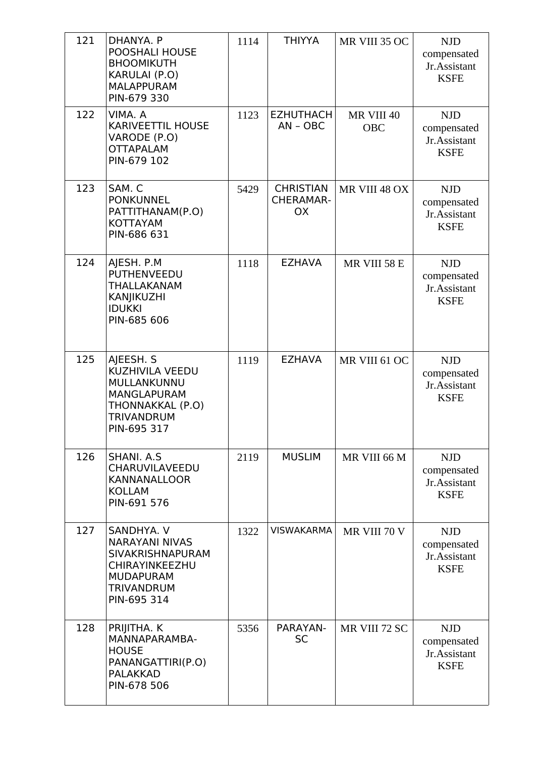| 121 | DHANYA. P<br>POOSHALI HOUSE<br><b>BHOOMIKUTH</b><br>KARULAI (P.O)<br><b>MALAPPURAM</b><br>PIN-679 330                                           | 1114 | <b>THIYYA</b>                                     | MR VIII 35 OC            | <b>NJD</b><br>compensated<br>Jr.Assistant<br><b>KSFE</b> |
|-----|-------------------------------------------------------------------------------------------------------------------------------------------------|------|---------------------------------------------------|--------------------------|----------------------------------------------------------|
| 122 | VIMA. A<br><b>KARIVEETTIL HOUSE</b><br>VARODE (P.O)<br><b>OTTAPALAM</b><br>PIN-679 102                                                          | 1123 | <b>EZHUTHACH</b><br>$AN - OBC$                    | MR VIII 40<br><b>OBC</b> | <b>NJD</b><br>compensated<br>Jr.Assistant<br><b>KSFE</b> |
| 123 | SAM. C<br><b>PONKUNNEL</b><br>PATTITHANAM(P.O)<br><b>KOTTAYAM</b><br>PIN-686 631                                                                | 5429 | <b>CHRISTIAN</b><br><b>CHERAMAR-</b><br><b>OX</b> | MR VIII 48 OX            | <b>NJD</b><br>compensated<br>Jr.Assistant<br><b>KSFE</b> |
| 124 | AJESH. P.M<br><b>PUTHENVEEDU</b><br>THALLAKANAM<br>KANJIKUZHI<br><b>IDUKKI</b><br>PIN-685 606                                                   | 1118 | <b>EZHAVA</b>                                     | MR VIII 58 E             | <b>NJD</b><br>compensated<br>Jr.Assistant<br><b>KSFE</b> |
| 125 | AJEESH. S<br>KUZHIVILA VEEDU<br>MULLANKUNNU<br><b>MANGLAPURAM</b><br>THONNAKKAL (P.O)<br>TRIVANDRUM<br>PIN-695 317                              | 1119 | <b>EZHAVA</b>                                     | MR VIII 61 OC            | <b>NJD</b><br>compensated<br>Jr.Assistant<br><b>KSFE</b> |
| 126 | SHANI, A.S.<br>CHARUVILAVEEDU<br><b>KANNANALLOOR</b><br><b>KOLLAM</b><br>PIN-691 576                                                            | 2119 | <b>MUSLIM</b>                                     | MR VIII 66 M             | <b>NJD</b><br>compensated<br>Jr.Assistant<br><b>KSFE</b> |
| 127 | SANDHYA. V<br><b>NARAYANI NIVAS</b><br><b>SIVAKRISHNAPURAM</b><br><b>CHIRAYINKEEZHU</b><br><b>MUDAPURAM</b><br><b>TRIVANDRUM</b><br>PIN-695 314 | 1322 | <b>VISWAKARMA</b>                                 | MR VIII 70 V             | <b>NJD</b><br>compensated<br>Jr.Assistant<br><b>KSFE</b> |
| 128 | PRIJITHA. K<br>MANNAPARAMBA-<br><b>HOUSE</b><br>PANANGATTIRI(P.O)<br><b>PALAKKAD</b><br>PIN-678 506                                             | 5356 | PARAYAN-<br><b>SC</b>                             | MR VIII 72 SC            | <b>NJD</b><br>compensated<br>Jr.Assistant<br><b>KSFE</b> |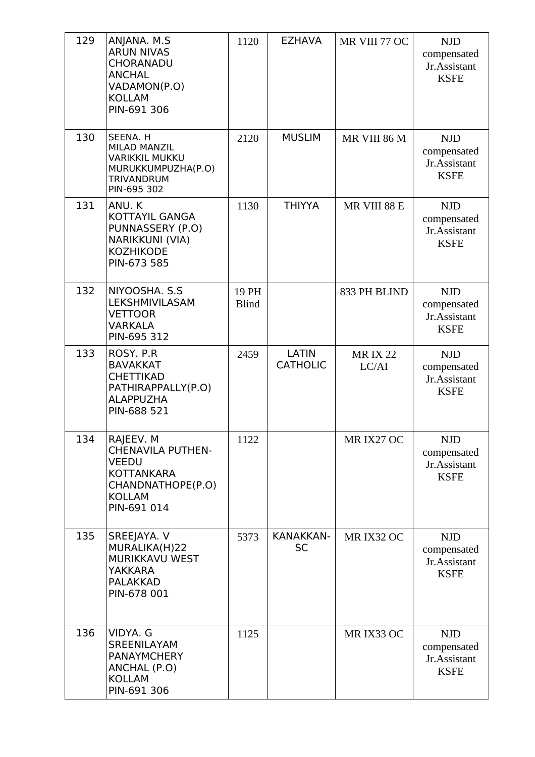| 129 | ANJANA. M.S<br><b>ARUN NIVAS</b><br>CHORANADU<br><b>ANCHAL</b><br>VADAMON(P.O)<br><b>KOLLAM</b><br>PIN-691 306                  | 1120                  | <b>EZHAVA</b>                   | MR VIII 77 OC           | <b>NJD</b><br>compensated<br>Jr.Assistant<br><b>KSFE</b> |
|-----|---------------------------------------------------------------------------------------------------------------------------------|-----------------------|---------------------------------|-------------------------|----------------------------------------------------------|
| 130 | SEENA. H<br><b>MILAD MANZIL</b><br><b>VARIKKIL MUKKU</b><br>MURUKKUMPUZHA(P.O)<br><b>TRIVANDRUM</b><br>PIN-695 302              | 2120                  | <b>MUSLIM</b>                   | MR VIII 86 M            | <b>NJD</b><br>compensated<br>Jr.Assistant<br><b>KSFE</b> |
| 131 | ANU.K<br><b>KOTTAYIL GANGA</b><br>PUNNASSERY (P.O)<br>NARIKKUNI (VIA)<br><b>KOZHIKODE</b><br>PIN-673 585                        | 1130                  | <b>THIYYA</b>                   | MR VIII 88 E            | <b>NJD</b><br>compensated<br>Jr.Assistant<br><b>KSFE</b> |
| 132 | NIYOOSHA. S.S.<br>LEKSHMIVILASAM<br><b>VETTOOR</b><br><b>VARKALA</b><br>PIN-695 312                                             | 19 PH<br><b>Blind</b> |                                 | 833 PH BLIND            | <b>NJD</b><br>compensated<br>Jr.Assistant<br><b>KSFE</b> |
| 133 | ROSY. P.R.<br><b>BAVAKKAT</b><br><b>CHETTIKAD</b><br>PATHIRAPPALLY(P.O)<br><b>ALAPPUZHA</b><br>PIN-688 521                      | 2459                  | <b>LATIN</b><br><b>CATHOLIC</b> | <b>MRIX 22</b><br>LC/AI | <b>NJD</b><br>compensated<br>Jr.Assistant<br><b>KSFE</b> |
| 134 | RAJEEV. M<br><b>CHENAVILA PUTHEN-</b><br><b>VEEDU</b><br><b>KOTTANKARA</b><br>CHANDNATHOPE(P.O)<br><b>KOLLAM</b><br>PIN-691 014 | 1122                  |                                 | MR IX27 OC              | <b>NJD</b><br>compensated<br>Jr.Assistant<br><b>KSFE</b> |
| 135 | SREEJAYA. V<br>MURALIKA(H)22<br>MURIKKAVU WEST<br>YAKKARA<br><b>PALAKKAD</b><br>PIN-678 001                                     | 5373                  | <b>KANAKKAN-</b><br><b>SC</b>   | MR IX32 OC              | <b>NJD</b><br>compensated<br>Jr.Assistant<br><b>KSFE</b> |
| 136 | VIDYA, G<br><b>SREENILAYAM</b><br><b>PANAYMCHERY</b><br>ANCHAL (P.O)<br><b>KOLLAM</b><br>PIN-691 306                            | 1125                  |                                 | MR IX33 OC              | <b>NJD</b><br>compensated<br>Jr.Assistant<br><b>KSFE</b> |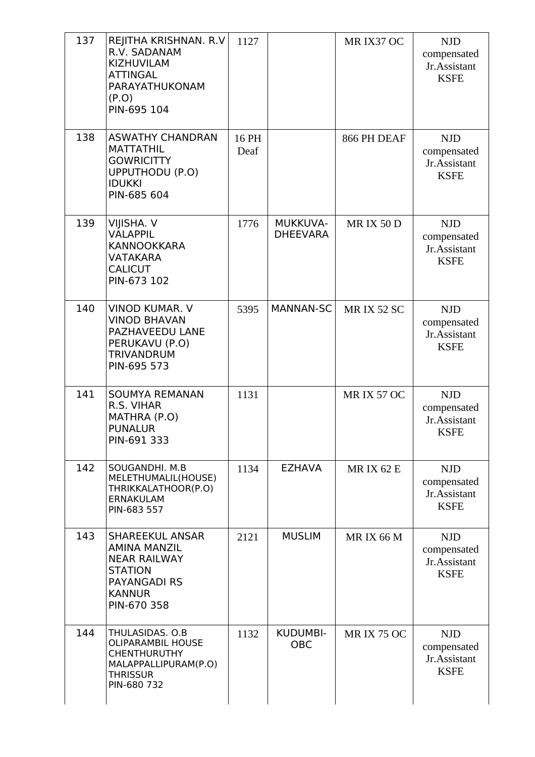| 137 | REJITHA KRISHNAN. R.V<br>R.V. SADANAM<br>KIZHUVILAM<br><b>ATTINGAL</b><br>PARAYATHUKONAM<br>(P.O)<br>PIN-695 104                              | 1127          |                               | MR IX37 OC        | <b>NJD</b><br>compensated<br>Jr.Assistant<br><b>KSFE</b> |
|-----|-----------------------------------------------------------------------------------------------------------------------------------------------|---------------|-------------------------------|-------------------|----------------------------------------------------------|
| 138 | <b>ASWATHY CHANDRAN</b><br><b>MATTATHIL</b><br><b>GOWRICITTY</b><br>UPPUTHODU (P.O)<br><b>IDUKKI</b><br>PIN-685 604                           | 16 PH<br>Deaf |                               | 866 PH DEAF       | <b>NJD</b><br>compensated<br>Jr.Assistant<br><b>KSFE</b> |
| 139 | VIJISHA. V<br><b>VALAPPIL</b><br><b>KANNOOKKARA</b><br><b>VATAKARA</b><br><b>CALICUT</b><br>PIN-673 102                                       | 1776          | MUKKUVA-<br><b>DHEEVARA</b>   | <b>MRIX 50 D</b>  | <b>NJD</b><br>compensated<br>Jr.Assistant<br><b>KSFE</b> |
| 140 | <b>VINOD KUMAR. V</b><br><b>VINOD BHAVAN</b><br>PAZHAVEEDU LANE<br>PERUKAVU (P.O)<br><b>TRIVANDRUM</b><br>PIN-695 573                         | 5395          | MANNAN-SC                     | <b>MRIX 52 SC</b> | <b>NJD</b><br>compensated<br>Jr.Assistant<br><b>KSFE</b> |
| 141 | <b>SOUMYA REMANAN</b><br>R.S. VIHAR<br>MATHRA (P.O)<br><b>PUNALUR</b><br>PIN-691 333                                                          | 1131          |                               | <b>MRIX 57 OC</b> | <b>NJD</b><br>compensated<br>Jr.Assistant<br><b>KSFE</b> |
| 142 | SOUGANDHI. M.B<br>MELETHUMALIL(HOUSE)<br>THRIKKALATHOOR(P.O)<br>ERNAKULAM<br>PIN-683 557                                                      | 1134          | <b>EZHAVA</b>                 | <b>MRIX 62 E</b>  | <b>NJD</b><br>compensated<br>Jr.Assistant<br><b>KSFE</b> |
| 143 | <b>SHAREEKUL ANSAR</b><br><b>AMINA MANZIL</b><br><b>NEAR RAILWAY</b><br><b>STATION</b><br><b>PAYANGADI RS</b><br><b>KANNUR</b><br>PIN-670 358 | 2121          | <b>MUSLIM</b>                 | <b>MRIX 66 M</b>  | <b>NJD</b><br>compensated<br>Jr.Assistant<br><b>KSFE</b> |
| 144 | THULASIDAS. O.B<br><b>OLIPARAMBIL HOUSE</b><br><b>CHENTHURUTHY</b><br>MALAPPALLIPURAM(P.O)<br><b>THRISSUR</b><br>PIN-680 732                  | 1132          | <b>KUDUMBI-</b><br><b>OBC</b> | <b>MRIX 75 OC</b> | <b>NJD</b><br>compensated<br>Jr.Assistant<br><b>KSFE</b> |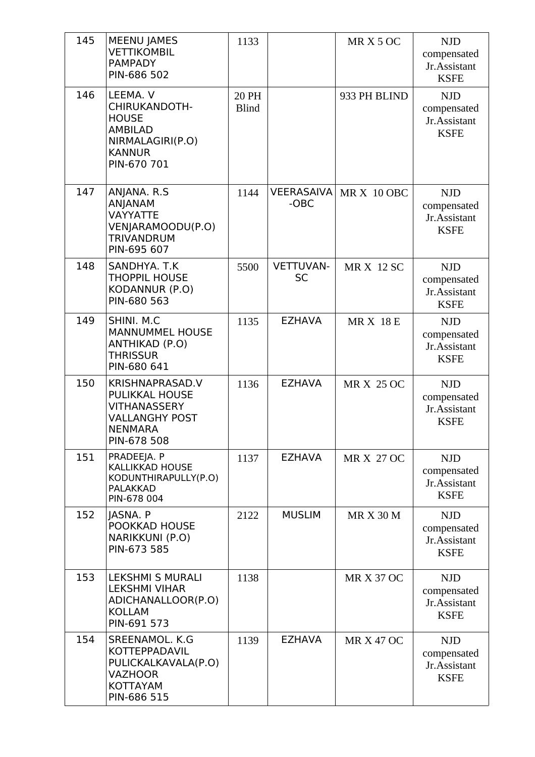| 145 | <b>MEENU JAMES</b><br><b>VETTIKOMBIL</b><br><b>PAMPADY</b><br>PIN-686 502                                       | 1133                  |                               | MRX50C            | <b>NJD</b><br>compensated<br>Jr.Assistant<br><b>KSFE</b> |
|-----|-----------------------------------------------------------------------------------------------------------------|-----------------------|-------------------------------|-------------------|----------------------------------------------------------|
| 146 | LEEMA. V<br>CHIRUKANDOTH-<br><b>HOUSE</b><br><b>AMBILAD</b><br>NIRMALAGIRI(P.O)<br><b>KANNUR</b><br>PIN-670 701 | 20 PH<br><b>Blind</b> |                               | 933 PH BLIND      | <b>NJD</b><br>compensated<br>Jr.Assistant<br><b>KSFE</b> |
| 147 | ANJANA. R.S<br><b>ANJANAM</b><br>VAYYATTE<br>VENJARAMOODU(P.O)<br><b>TRIVANDRUM</b><br>PIN-695 607              | 1144                  | <b>VEERASAIVA</b><br>-OBC     | MRX 10 OBC        | <b>NJD</b><br>compensated<br>Jr.Assistant<br><b>KSFE</b> |
| 148 | SANDHYA, T.K<br><b>THOPPIL HOUSE</b><br>KODANNUR (P.O)<br>PIN-680 563                                           | 5500                  | <b>VETTUVAN-</b><br><b>SC</b> | <b>MR X 12 SC</b> | <b>NJD</b><br>compensated<br>Jr.Assistant<br><b>KSFE</b> |
| 149 | SHINI. M.C<br><b>MANNUMMEL HOUSE</b><br><b>ANTHIKAD (P.O)</b><br><b>THRISSUR</b><br>PIN-680 641                 | 1135                  | <b>EZHAVA</b>                 | <b>MRX 18E</b>    | <b>NJD</b><br>compensated<br>Jr.Assistant<br><b>KSFE</b> |
| 150 | KRISHNAPRASAD.V<br>PULIKKAL HOUSE<br>VITHANASSERY<br><b>VALLANGHY POST</b><br><b>NENMARA</b><br>PIN-678 508     | 1136                  | <b>EZHAVA</b>                 | <b>MR X 25 OC</b> | <b>NJD</b><br>compensated<br>Jr.Assistant<br><b>KSFE</b> |
| 151 | PRADEEJA. P<br><b>KALLIKKAD HOUSE</b><br>KODUNTHIRAPULLY(P.O)<br><b>PALAKKAD</b><br>PIN-678 004                 | 1137                  | <b>EZHAVA</b>                 | MR X 27 OC        | <b>NJD</b><br>compensated<br>Jr.Assistant<br><b>KSFE</b> |
| 152 | JASNA. P<br>POOKKAD HOUSE<br>NARIKKUNI (P.O)<br>PIN-673 585                                                     | 2122                  | <b>MUSLIM</b>                 | <b>MR X 30 M</b>  | <b>NJD</b><br>compensated<br>Jr.Assistant<br><b>KSFE</b> |
| 153 | <b>LEKSHMI S MURALI</b><br><b>LEKSHMI VIHAR</b><br>ADICHANALLOOR(P.O)<br><b>KOLLAM</b><br>PIN-691 573           | 1138                  |                               | <b>MR X 37 OC</b> | <b>NJD</b><br>compensated<br>Jr.Assistant<br><b>KSFE</b> |
| 154 | SREENAMOL. K.G<br><b>KOTTEPPADAVIL</b><br>PULICKALKAVALA(P.O)<br><b>VAZHOOR</b><br>KOTTAYAM<br>PIN-686 515      | 1139                  | <b>EZHAVA</b>                 | <b>MR X 47 OC</b> | <b>NJD</b><br>compensated<br>Jr.Assistant<br><b>KSFE</b> |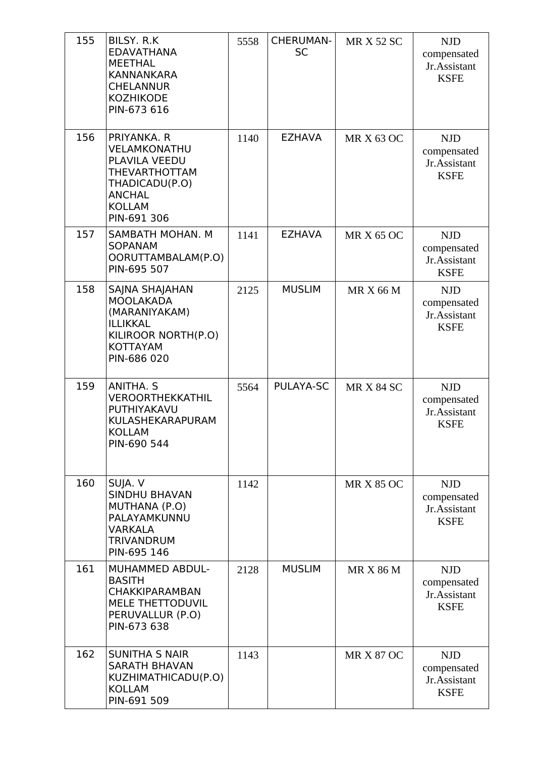| 155 | BILSY. R.K<br><b>EDAVATHANA</b><br><b>MEETHAL</b><br><b>KANNANKARA</b><br><b>CHELANNUR</b><br><b>KOZHIKODE</b><br>PIN-673 616           | 5558 | <b>CHERUMAN-</b><br><b>SC</b> | <b>MR X 52 SC</b> | <b>NJD</b><br>compensated<br>Jr.Assistant<br><b>KSFE</b> |
|-----|-----------------------------------------------------------------------------------------------------------------------------------------|------|-------------------------------|-------------------|----------------------------------------------------------|
| 156 | PRIYANKA. R<br>VELAMKONATHU<br>PLAVILA VEEDU<br><b>THEVARTHOTTAM</b><br>THADICADU(P.O)<br><b>ANCHAL</b><br><b>KOLLAM</b><br>PIN-691 306 | 1140 | <b>EZHAVA</b>                 | <b>MR X 63 OC</b> | <b>NJD</b><br>compensated<br>Jr.Assistant<br><b>KSFE</b> |
| 157 | SAMBATH MOHAN. M<br><b>SOPANAM</b><br>OORUTTAMBALAM(P.O)<br>PIN-695 507                                                                 | 1141 | <b>EZHAVA</b>                 | <b>MR X 65 OC</b> | <b>NJD</b><br>compensated<br>Jr.Assistant<br><b>KSFE</b> |
| 158 | SAJNA SHAJAHAN<br><b>MOOLAKADA</b><br>(MARANIYAKAM)<br><b>ILLIKKAL</b><br>KILIROOR NORTH(P.O)<br><b>KOTTAYAM</b><br>PIN-686 020         | 2125 | <b>MUSLIM</b>                 | <b>MR X 66 M</b>  | <b>NJD</b><br>compensated<br>Jr.Assistant<br><b>KSFE</b> |
| 159 | ANITHA. S<br>VEROORTHEKKATHIL<br>PUTHIYAKAVU<br>KULASHEKARAPURAM<br>KOLLAM<br>PIN-690 544                                               | 5564 | PULAYA-SC                     | <b>MR X 84 SC</b> | <b>NJD</b><br>compensated<br>Jr.Assistant<br><b>KSFE</b> |
| 160 | SUJA. V<br><b>SINDHU BHAVAN</b><br>MUTHANA (P.O)<br>PALAYAMKUNNU<br>VARKALA<br><b>TRIVANDRUM</b><br>PIN-695 146                         | 1142 |                               | <b>MR X 85 OC</b> | <b>NJD</b><br>compensated<br>Jr.Assistant<br><b>KSFE</b> |
| 161 | MUHAMMED ABDUL-<br><b>BASITH</b><br><b>CHAKKIPARAMBAN</b><br>MELE THETTODUVIL<br>PERUVALLUR (P.O)<br>PIN-673 638                        | 2128 | <b>MUSLIM</b>                 | <b>MR X 86 M</b>  | <b>NJD</b><br>compensated<br>Jr.Assistant<br><b>KSFE</b> |
| 162 | <b>SUNITHA S NAIR</b><br><b>SARATH BHAVAN</b><br>KUZHIMATHICADU(P.O)<br><b>KOLLAM</b><br>PIN-691 509                                    | 1143 |                               | <b>MR X 87 OC</b> | <b>NJD</b><br>compensated<br>Jr.Assistant<br><b>KSFE</b> |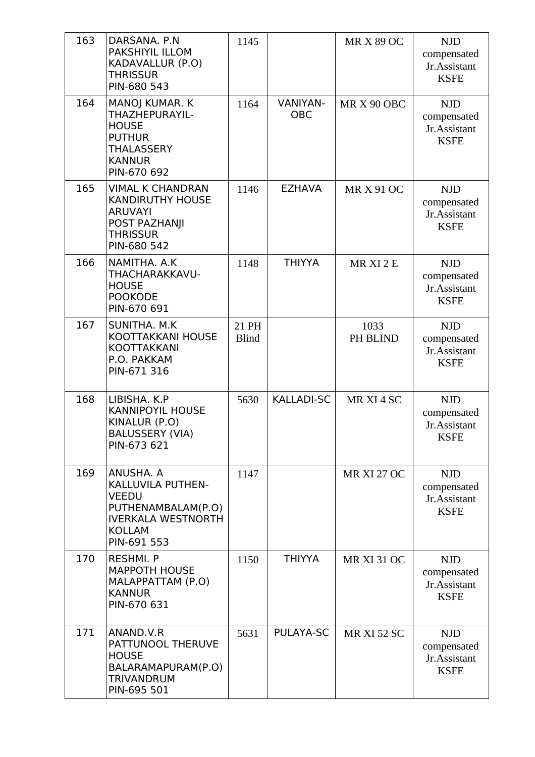| 163 | DARSANA. P.N<br>PAKSHIYIL ILLOM<br>KADAVALLUR (P.O)<br><b>THRISSUR</b><br>PIN-680 543                                             | 1145                  |                               | <b>MR X 89 OC</b>  | <b>NJD</b><br>compensated<br>Jr.Assistant<br><b>KSFE</b> |
|-----|-----------------------------------------------------------------------------------------------------------------------------------|-----------------------|-------------------------------|--------------------|----------------------------------------------------------|
| 164 | MANOJ KUMAR. K<br>THAZHEPURAYIL-<br><b>HOUSE</b><br><b>PUTHUR</b><br><b>THALASSERY</b><br><b>KANNUR</b><br>PIN-670 692            | 1164                  | <b>VANIYAN-</b><br><b>OBC</b> | MR X 90 OBC        | <b>NJD</b><br>compensated<br>Jr.Assistant<br><b>KSFE</b> |
| 165 | <b>VIMAL K CHANDRAN</b><br><b>KANDIRUTHY HOUSE</b><br><b>ARUVAYI</b><br>POST PAZHANJI<br><b>THRISSUR</b><br>PIN-680 542           | 1146                  | <b>EZHAVA</b>                 | <b>MR X 91 OC</b>  | <b>NJD</b><br>compensated<br>Jr.Assistant<br><b>KSFE</b> |
| 166 | NAMITHA. A.K<br>THACHARAKKAVU-<br><b>HOUSE</b><br><b>POOKODE</b><br>PIN-670 691                                                   | 1148                  | <b>THIYYA</b>                 | MR XI 2 E          | <b>NJD</b><br>compensated<br>Jr.Assistant<br><b>KSFE</b> |
| 167 | SUNITHA. M.K<br>KOOTTAKKANI HOUSE<br><b>KOOTTAKKANI</b><br>P.O. PAKKAM<br>PIN-671 316                                             | 21 PH<br><b>Blind</b> |                               | 1033<br>PH BLIND   | <b>NJD</b><br>compensated<br>Jr.Assistant<br><b>KSFE</b> |
| 168 | LIBISHA, K.P.<br><b>KANNIPOYIL HOUSE</b><br>KINALUR (P.O)<br><b>BALUSSERY (VIA)</b><br>PIN-673 621                                | 5630                  | <b>KALLADI-SC</b>             | MR XI 4 SC         | <b>NJD</b><br>compensated<br>Jr.Assistant<br><b>KSFE</b> |
| 169 | ANUSHA. A<br>KALLUVILA PUTHEN-<br><b>VEEDU</b><br>PUTHENAMBALAM(P.O)<br><b>IVERKALA WESTNORTH</b><br><b>KOLLAM</b><br>PIN-691 553 | 1147                  |                               | <b>MR XI 27 OC</b> | <b>NJD</b><br>compensated<br>Jr.Assistant<br><b>KSFE</b> |
| 170 | <b>RESHMI. P</b><br><b>MAPPOTH HOUSE</b><br>MALAPPATTAM (P.O)<br><b>KANNUR</b><br>PIN-670 631                                     | 1150                  | <b>THIYYA</b>                 | <b>MR XI 31 OC</b> | <b>NJD</b><br>compensated<br>Jr.Assistant<br><b>KSFE</b> |
| 171 | ANAND.V.R<br>PATTUNOOL THERUVE<br><b>HOUSE</b><br>BALARAMAPURAM(P.O)<br><b>TRIVANDRUM</b><br>PIN-695 501                          | 5631                  | PULAYA-SC                     | <b>MR XI 52 SC</b> | <b>NJD</b><br>compensated<br>Jr.Assistant<br><b>KSFE</b> |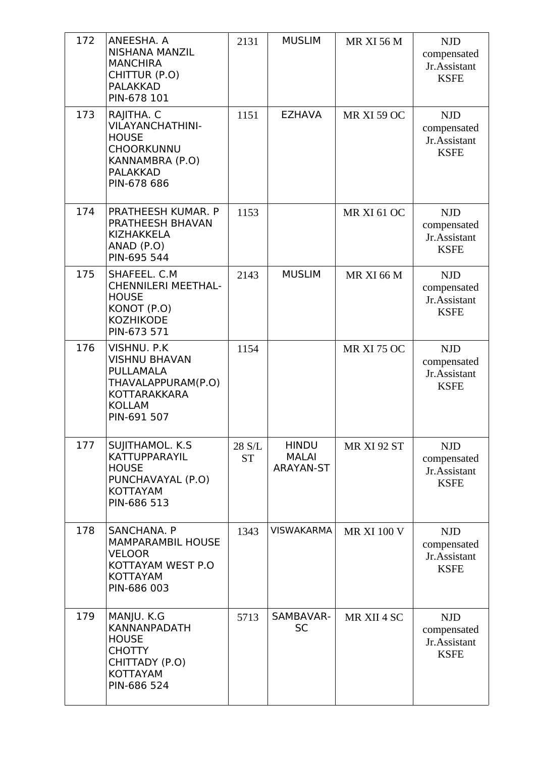| 172 | ANEESHA. A<br><b>NISHANA MANZIL</b><br><b>MANCHIRA</b><br>CHITTUR (P.O)<br><b>PALAKKAD</b><br>PIN-678 101                       | 2131                | <b>MUSLIM</b>                                    | <b>MR XI 56 M</b>  | <b>NJD</b><br>compensated<br>Jr.Assistant<br><b>KSFE</b> |
|-----|---------------------------------------------------------------------------------------------------------------------------------|---------------------|--------------------------------------------------|--------------------|----------------------------------------------------------|
| 173 | RAJITHA. C<br><b>VILAYANCHATHINI-</b><br><b>HOUSE</b><br><b>CHOORKUNNU</b><br>KANNAMBRA (P.O)<br><b>PALAKKAD</b><br>PIN-678 686 | 1151                | <b>EZHAVA</b>                                    | <b>MR XI 59 OC</b> | <b>NJD</b><br>compensated<br>Jr.Assistant<br><b>KSFE</b> |
| 174 | PRATHEESH KUMAR. P<br>PRATHEESH BHAVAN<br>KIZHAKKELA<br>ANAD (P.O)<br>PIN-695 544                                               | 1153                |                                                  | <b>MR XI 61 OC</b> | <b>NJD</b><br>compensated<br>Jr.Assistant<br><b>KSFE</b> |
| 175 | SHAFEEL. C.M.<br><b>CHENNILERI MEETHAL-</b><br><b>HOUSE</b><br>KONOT (P.O)<br><b>KOZHIKODE</b><br>PIN-673 571                   | 2143                | <b>MUSLIM</b>                                    | <b>MR XI 66 M</b>  | <b>NJD</b><br>compensated<br>Jr.Assistant<br><b>KSFE</b> |
| 176 | VISHNU. P.K<br><b>VISHNU BHAVAN</b><br>PULLAMALA<br>THAVALAPPURAM(P.O)<br>KOTTARAKKARA<br><b>KOLLAM</b><br>PIN-691 507          | 1154                |                                                  | <b>MR XI 75 OC</b> | <b>NJD</b><br>compensated<br>Jr.Assistant<br><b>KSFE</b> |
| 177 | SUJITHAMOL. K.S.<br>KATTUPPARAYIL<br><b>HOUSE</b><br>PUNCHAVAYAL (P.O)<br>KOTTAYAM<br>PIN-686 513                               | 28 S/L<br><b>ST</b> | <b>HINDU</b><br><b>MALAI</b><br><b>ARAYAN-ST</b> | <b>MR XI 92 ST</b> | <b>NJD</b><br>compensated<br>Jr.Assistant<br><b>KSFE</b> |
| 178 | SANCHANA. P<br><b>MAMPARAMBIL HOUSE</b><br><b>VELOOR</b><br>KOTTAYAM WEST P.O<br>KOTTAYAM<br>PIN-686 003                        | 1343                | <b>VISWAKARMA</b>                                | <b>MR XI 100 V</b> | <b>NJD</b><br>compensated<br>Jr.Assistant<br><b>KSFE</b> |
| 179 | MANJU. K.G<br><b>KANNANPADATH</b><br><b>HOUSE</b><br><b>CHOTTY</b><br>CHITTADY (P.O)<br>KOTTAYAM<br>PIN-686 524                 | 5713                | SAMBAVAR-<br><b>SC</b>                           | MR XII 4 SC        | <b>NJD</b><br>compensated<br>Jr.Assistant<br><b>KSFE</b> |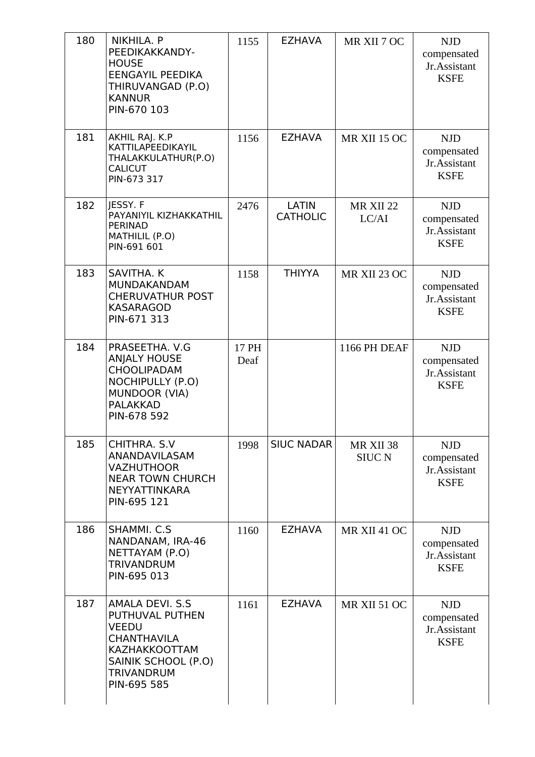| 180 | NIKHILA. P<br>PEEDIKAKKANDY-<br><b>HOUSE</b><br>EENGAYIL PEEDIKA<br>THIRUVANGAD (P.O)<br><b>KANNUR</b><br>PIN-670 103                                              | 1155          | <b>EZHAVA</b>                   | MR XII 7 OC                | <b>NJD</b><br>compensated<br>Jr.Assistant<br><b>KSFE</b> |
|-----|--------------------------------------------------------------------------------------------------------------------------------------------------------------------|---------------|---------------------------------|----------------------------|----------------------------------------------------------|
| 181 | AKHIL RAJ. K.P<br>KATTILAPEEDIKAYIL<br>THALAKKULATHUR(P.O)<br><b>CALICUT</b><br>PIN-673 317                                                                        | 1156          | <b>EZHAVA</b>                   | MR XII 15 OC               | <b>NJD</b><br>compensated<br>Jr.Assistant<br><b>KSFE</b> |
| 182 | JESSY. F<br>PAYANIYIL KIZHAKKATHIL<br>PERINAD<br>MATHILIL (P.O)<br>PIN-691 601                                                                                     | 2476          | <b>LATIN</b><br><b>CATHOLIC</b> | MR XII 22<br>LC/AI         | <b>NJD</b><br>compensated<br>Jr.Assistant<br><b>KSFE</b> |
| 183 | SAVITHA. K<br>MUNDAKANDAM<br><b>CHERUVATHUR POST</b><br><b>KASARAGOD</b><br>PIN-671 313                                                                            | 1158          | <b>THIYYA</b>                   | MR XII 23 OC               | <b>NJD</b><br>compensated<br>Jr.Assistant<br><b>KSFE</b> |
| 184 | PRASEETHA. V.G<br><b>ANJALY HOUSE</b><br><b>CHOOLIPADAM</b><br><b>NOCHIPULLY (P.O)</b><br>MUNDOOR (VIA)<br><b>PALAKKAD</b><br>PIN-678 592                          | 17 PH<br>Deaf |                                 | 1166 PH DEAF               | <b>NJD</b><br>compensated<br>Jr.Assistant<br><b>KSFE</b> |
| 185 | CHITHRA, S.V.<br>ANANDAVILASAM<br><b>VAZHUTHOOR</b><br><b>NEAR TOWN CHURCH</b><br>NEYYATTINKARA<br>PIN-695 121                                                     | 1998          | <b>SIUC NADAR</b>               | MR XII 38<br><b>SIUC N</b> | <b>NJD</b><br>compensated<br>Jr.Assistant<br><b>KSFE</b> |
| 186 | SHAMMI. C.S.<br>NANDANAM, IRA-46<br>NETTAYAM (P.O)<br><b>TRIVANDRUM</b><br>PIN-695 013                                                                             | 1160          | <b>EZHAVA</b>                   | MR XII 41 OC               | <b>NJD</b><br>compensated<br>Jr.Assistant<br><b>KSFE</b> |
| 187 | <b>AMALA DEVI. S.S</b><br>PUTHUVAL PUTHEN<br><b>VEEDU</b><br><b>CHANTHAVILA</b><br><b>KAZHAKKOOTTAM</b><br>SAINIK SCHOOL (P.O)<br><b>TRIVANDRUM</b><br>PIN-695 585 | 1161          | <b>EZHAVA</b>                   | MR XII 51 OC               | <b>NJD</b><br>compensated<br>Jr.Assistant<br><b>KSFE</b> |